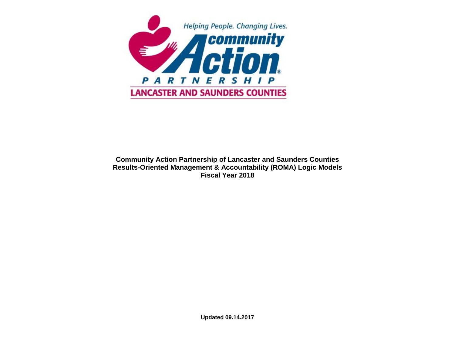

#### **Community Action Partnership of Lancaster and Saunders Counties Results-Oriented Management & Accountability (ROMA) Logic Models Fiscal Year 2018**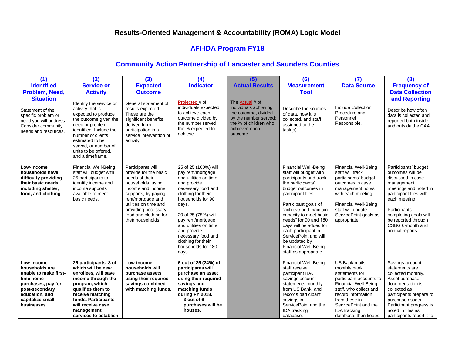# **AFI-IDA Program FY18**

| (1)<br><b>Identified</b><br>Problem, Need,<br><b>Situation</b><br>Statement of the<br>specific problem or<br>need you will address.<br>Consider community<br>needs and resources. | (2)<br><b>Service or</b><br><b>Activity</b><br>Identify the service or<br>activity that is<br>expected to produce<br>the outcome given the<br>need or problem<br>identified. Include the<br>number of clients<br>estimated to be<br>served, or number of<br>units to be offered.<br>and a timeframe. | (3)<br><b>Expected</b><br><b>Outcome</b><br>General statement of<br>results expected.<br>These are the<br>significant benefits<br>derived from<br>participation in a<br>service intervention or<br>activity.                                     | (4)<br><b>Indicator</b><br>Projected # of<br>individuals expected<br>to achieve each<br>outcome divided by<br>the number served;<br>the % expected to<br>achieve.                                                                                                                                                          | (5)<br><b>Actual Results</b><br>The <b>Actual</b> # of<br>individuals achieving<br>the outcome, divided<br>by the number served;<br>the % of children who<br>achieved each<br>outcome. | (6)<br><b>Measurement</b><br><b>Tool</b><br>Describe the sources<br>of data, how it is<br>collected, and staff<br>assigned to the<br>$task(s)$ .                                                                                                                                                                                                                                                        | (7)<br><b>Data Source</b><br>Include Collection<br>Procedure and<br>Personnel<br>Responsible.                                                                                                                                                            | (8)<br><b>Frequency of</b><br><b>Data Collection</b><br>and Reporting<br>Describe how often<br>data is collected and<br>reported both inside<br>and outside the CAA.                                                                                   |
|-----------------------------------------------------------------------------------------------------------------------------------------------------------------------------------|------------------------------------------------------------------------------------------------------------------------------------------------------------------------------------------------------------------------------------------------------------------------------------------------------|--------------------------------------------------------------------------------------------------------------------------------------------------------------------------------------------------------------------------------------------------|----------------------------------------------------------------------------------------------------------------------------------------------------------------------------------------------------------------------------------------------------------------------------------------------------------------------------|----------------------------------------------------------------------------------------------------------------------------------------------------------------------------------------|---------------------------------------------------------------------------------------------------------------------------------------------------------------------------------------------------------------------------------------------------------------------------------------------------------------------------------------------------------------------------------------------------------|----------------------------------------------------------------------------------------------------------------------------------------------------------------------------------------------------------------------------------------------------------|--------------------------------------------------------------------------------------------------------------------------------------------------------------------------------------------------------------------------------------------------------|
| Low-income<br>households have<br>difficulty providing<br>their basic needs<br>including shelter,<br>food, and clothing                                                            | <b>Financial Well-Being</b><br>staff will budget with<br>25 participants to<br>identify income and<br>income supports<br>available to meet<br>basic needs.                                                                                                                                           | Participants will<br>provide for the basic<br>needs of their<br>households, using<br>income and income<br>supports, by paying<br>rent/mortgage and<br>utilities on time and<br>providing necessary<br>food and clothing for<br>their households. | 25 of 25 (100%) will<br>pay rent/mortgage<br>and utilities on time<br>and provide<br>necessary food and<br>clothing for their<br>households for 90<br>days.<br>20 of 25 (75%) will<br>pay rent/mortgage<br>and utilities on time<br>and provide<br>necessary food and<br>clothing for their<br>households for 180<br>days. |                                                                                                                                                                                        | <b>Financial Well-Being</b><br>staff will budget with<br>participants and track<br>the participants'<br>budget outcomes in<br>participant files.<br>Participant goals of<br>"achieve and maintain<br>capacity to meet basic<br>needs" for 90 and 180<br>days will be added for<br>each participant in<br>ServicePoint and will<br>be updated by<br><b>Financial Well-Being</b><br>staff as appropriate. | <b>Financial Well-Being</b><br>staff will track<br>participants' budget<br>outcomes in case<br>management notes<br>with each meeting.<br><b>Financial Well-Being</b><br>staff will update<br>ServicePoint goals as<br>appropriate.                       | Participants' budget<br>outcomes will be<br>discussed in case<br>management<br>meetings and noted in<br>participant files with<br>each meeting.<br>Participants<br>completing goals will<br>be reported through<br>CSBG 6-month and<br>annual reports. |
| Low-income<br>households are<br>unable to make first-<br>time home<br>purchases, pay for<br>post-secondary<br>education, and<br>capitalize small<br>businesses.                   | 25 participants, 8 of<br>which will be new<br>enrollees, will save<br>income through the<br>program, which<br>qualifies them to<br>receive matching<br>funds. Participants<br>will receive case<br>management<br>services to establish                                                               | Low-income<br>households will<br>purchase assets<br>using their required<br>savings combined<br>with matching funds.                                                                                                                             | 6 out of 25 (24%) of<br>participants will<br>purchase an asset<br>using their required<br>savings and<br>matching funds<br>during FY 2018.<br>$-3$ out of 6<br>purchases will be<br>houses.                                                                                                                                |                                                                                                                                                                                        | <b>Financial Well-Being</b><br>staff receive<br>participant IDA<br>savings account<br>statements monthly<br>from US Bank, and<br>records participant<br>savings in<br>ServicePoint and the<br>IDA tracking<br>database.                                                                                                                                                                                 | <b>US Bank mails</b><br>monthly bank<br>statements for<br>participant accounts to<br><b>Financial Well-Being</b><br>staff, who collect and<br>record information<br>from these in<br>ServicePoint and the<br><b>IDA</b> tracking<br>database, then keeps | Savings account<br>statements are<br>collected monthly.<br>Asset purchase<br>documentation is<br>collected as<br>participants prepare to<br>purchase assets.<br>Participant progress is<br>noted in files as<br>participants report it to              |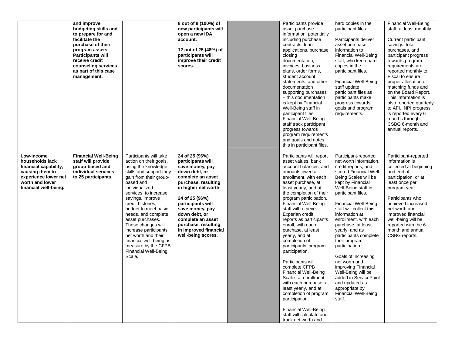|                                                                                                                                               | and improve<br>budgeting skills and<br>to prepare for and<br>facilitate the<br>purchase of their<br>program assets.<br><b>Participants will</b><br>receive credit<br>counseling services<br>as part of this case<br>management. |                                                                                                                                                                                                                                                                                                                                                                                                                                                                     | 8 out of 8 (100%) of<br>new participants will<br>open a new IDA<br>account.<br>12 out of 25 (48%) of<br>participants will<br>improve their credit<br>scores.                                                                                                                                                      | Participants provide<br>asset purchase<br>information, potentially<br>including purchase<br>contracts, loan<br>applications, purchase<br>closing<br>documentation,<br>invoices, business<br>plans, order forms,<br>student account<br>statements, and other<br>documentation<br>supporting purchases<br>- this documentation<br>is kept by Financial<br>Well-Being staff in<br>participant files.<br><b>Financial Well-Being</b><br>staff track participant<br>progress towards<br>program requirements<br>and goals and notes<br>this in participant files.                                                                                                                                                                     | hard copies in the<br>participant files.<br>Participants deliver<br>asset purchase<br>information to<br><b>Financial Well-Being</b><br>staff, who keep hard<br>copies in the<br>participant files.<br><b>Financial Well-Being</b><br>staff update<br>participant files as<br>participants make<br>progress towards<br>goals and program<br>requirements.                                                                                                                                                                                                                                      | <b>Financial Well-Being</b><br>staff, at least monthly.<br>Current participant<br>savings, total<br>purchases, and<br>participant progress<br>towards program<br>requirements are<br>reported monthly to<br>Fiscal to ensure<br>proper allocation of<br>matching funds and<br>on the Board Report.<br>This information is<br>also reported quarterly<br>to AFI. NPI progress<br>is reported every 6<br>months through<br>CSBG 6-month and<br>annual reports. |
|-----------------------------------------------------------------------------------------------------------------------------------------------|---------------------------------------------------------------------------------------------------------------------------------------------------------------------------------------------------------------------------------|---------------------------------------------------------------------------------------------------------------------------------------------------------------------------------------------------------------------------------------------------------------------------------------------------------------------------------------------------------------------------------------------------------------------------------------------------------------------|-------------------------------------------------------------------------------------------------------------------------------------------------------------------------------------------------------------------------------------------------------------------------------------------------------------------|----------------------------------------------------------------------------------------------------------------------------------------------------------------------------------------------------------------------------------------------------------------------------------------------------------------------------------------------------------------------------------------------------------------------------------------------------------------------------------------------------------------------------------------------------------------------------------------------------------------------------------------------------------------------------------------------------------------------------------|-----------------------------------------------------------------------------------------------------------------------------------------------------------------------------------------------------------------------------------------------------------------------------------------------------------------------------------------------------------------------------------------------------------------------------------------------------------------------------------------------------------------------------------------------------------------------------------------------|--------------------------------------------------------------------------------------------------------------------------------------------------------------------------------------------------------------------------------------------------------------------------------------------------------------------------------------------------------------------------------------------------------------------------------------------------------------|
| Low-income<br>households lack<br>financial capability,<br>causing them to<br>experience lower net<br>worth and lower<br>financial well-being. | <b>Financial Well-Being</b><br>staff will provide<br>group-based and<br>individual services<br>to 25 participants.                                                                                                              | Participants will take<br>action on their goals,<br>using the knowledge,<br>skills and support they<br>gain from their group-<br>based and<br>individualized<br>services, to increase<br>savings, improve<br>credit histories,<br>budget to meet basic<br>needs, and complete<br>asset purchases.<br>These changes will<br>increase participants'<br>net worth and their<br>financial well-being as<br>measure by the CFPB<br><b>Financial Well-Being</b><br>Scale. | 24 of 25 (96%)<br>participants will<br>save money, pay<br>down debt, or<br>complete an asset<br>purchase, resulting<br>in higher net worth.<br>24 of 25 (96%)<br>participants will<br>save money, pay<br>down debt, or<br>complete an asset<br>purchase, resulting<br>in improved financial<br>well-being scores. | Participants will report<br>asset values, bank<br>account balances, and<br>amounts owed at<br>enrollment, with each<br>asset purchase, at<br>least yearly, and at<br>the completion of their<br>program participation.<br><b>Financial Well-Being</b><br>staff will retrieve<br>Experian credit<br>reports as participants<br>enroll, with each<br>purchase, at least<br>yearly, and at<br>completion of<br>participants' program<br>participation.<br>Participants will<br>complete CFPB<br><b>Financial Well-Being</b><br>Scales at enrollment,<br>with each purchase, at<br>least yearly, and at<br>completion of program<br>participation.<br><b>Financial Well-Being</b><br>staff will calculate and<br>track net worth and | Participant-reported<br>net worth information,<br>credit reports, and<br>scored Financial Well-<br>Being Scales will be<br>kept by Financial<br>Well-Being staff in<br>participant files.<br><b>Financial Well-Being</b><br>staff will collect this<br>information at<br>enrollment, with each<br>purchase, at least<br>yearly, and as<br>participants complete<br>their program<br>participation.<br>Goals of increasing<br>net worth and<br>improving Financial<br>Well-Being will be<br>added in ServicePoint<br>and updated as<br>appropriate by<br><b>Financial Well-Being</b><br>staff. | Participant-reported<br>information is<br>collected at beginning<br>and end of<br>participation, or at<br>least once per<br>program year.<br>Participants who<br>achieved increased<br>net worth and<br>improved financial<br>well-being will be<br>reported with the 6-<br>month and annual<br>CSBG reports.                                                                                                                                                |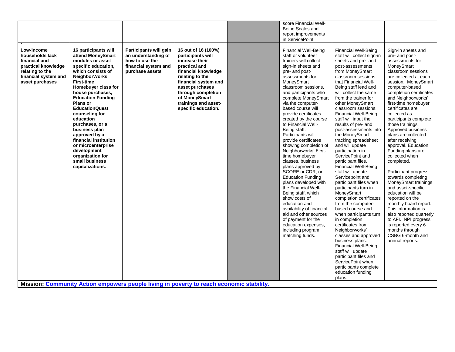|                                                                                                                                     |                                                                                                                                                                                                                                                                                                                                                                                                                                                                                 |                                                                                                            |                                                                                                                                                                                                                                                        | score Financial Well-                                                                                                                                                                                                                                                                                                                                                                                                                                                                                                                                                                                                                                                                                                                                                                                                                      |                                                                                                                                                                                                                                                                                                                                                                                                                                                                                                                                                                                                                                                                                                                                                                                                                                                                                                                                                                                                  |                                                                                                                                                                                                                                                                                                                                                                                                                                                                                                                                                                                                                                                                                                                                                                                           |
|-------------------------------------------------------------------------------------------------------------------------------------|---------------------------------------------------------------------------------------------------------------------------------------------------------------------------------------------------------------------------------------------------------------------------------------------------------------------------------------------------------------------------------------------------------------------------------------------------------------------------------|------------------------------------------------------------------------------------------------------------|--------------------------------------------------------------------------------------------------------------------------------------------------------------------------------------------------------------------------------------------------------|--------------------------------------------------------------------------------------------------------------------------------------------------------------------------------------------------------------------------------------------------------------------------------------------------------------------------------------------------------------------------------------------------------------------------------------------------------------------------------------------------------------------------------------------------------------------------------------------------------------------------------------------------------------------------------------------------------------------------------------------------------------------------------------------------------------------------------------------|--------------------------------------------------------------------------------------------------------------------------------------------------------------------------------------------------------------------------------------------------------------------------------------------------------------------------------------------------------------------------------------------------------------------------------------------------------------------------------------------------------------------------------------------------------------------------------------------------------------------------------------------------------------------------------------------------------------------------------------------------------------------------------------------------------------------------------------------------------------------------------------------------------------------------------------------------------------------------------------------------|-------------------------------------------------------------------------------------------------------------------------------------------------------------------------------------------------------------------------------------------------------------------------------------------------------------------------------------------------------------------------------------------------------------------------------------------------------------------------------------------------------------------------------------------------------------------------------------------------------------------------------------------------------------------------------------------------------------------------------------------------------------------------------------------|
|                                                                                                                                     |                                                                                                                                                                                                                                                                                                                                                                                                                                                                                 |                                                                                                            |                                                                                                                                                                                                                                                        | Being Scales and                                                                                                                                                                                                                                                                                                                                                                                                                                                                                                                                                                                                                                                                                                                                                                                                                           |                                                                                                                                                                                                                                                                                                                                                                                                                                                                                                                                                                                                                                                                                                                                                                                                                                                                                                                                                                                                  |                                                                                                                                                                                                                                                                                                                                                                                                                                                                                                                                                                                                                                                                                                                                                                                           |
|                                                                                                                                     |                                                                                                                                                                                                                                                                                                                                                                                                                                                                                 |                                                                                                            |                                                                                                                                                                                                                                                        | report improvements                                                                                                                                                                                                                                                                                                                                                                                                                                                                                                                                                                                                                                                                                                                                                                                                                        |                                                                                                                                                                                                                                                                                                                                                                                                                                                                                                                                                                                                                                                                                                                                                                                                                                                                                                                                                                                                  |                                                                                                                                                                                                                                                                                                                                                                                                                                                                                                                                                                                                                                                                                                                                                                                           |
|                                                                                                                                     |                                                                                                                                                                                                                                                                                                                                                                                                                                                                                 |                                                                                                            |                                                                                                                                                                                                                                                        |                                                                                                                                                                                                                                                                                                                                                                                                                                                                                                                                                                                                                                                                                                                                                                                                                                            |                                                                                                                                                                                                                                                                                                                                                                                                                                                                                                                                                                                                                                                                                                                                                                                                                                                                                                                                                                                                  |                                                                                                                                                                                                                                                                                                                                                                                                                                                                                                                                                                                                                                                                                                                                                                                           |
| Low-income<br>households lack<br>financial and<br>practical knowledge<br>relating to the<br>financial system and<br>asset purchases | 16 participants will<br>attend MoneySmart<br>modules or asset-<br>specific education,<br>which consists of<br><b>NeighborWorks</b><br><b>First-time</b><br>Homebuyer class for<br>house purchases,<br><b>Education Funding</b><br>Plans or<br><b>EducationQuest</b><br>counseling for<br>education<br>purchases, or a<br>business plan<br>approved by a<br>financial institution<br>or microenterprise<br>development<br>organization for<br>small business<br>capitalizations. | Participants will gain<br>an understanding of<br>how to use the<br>financial system and<br>purchase assets | 16 out of 16 (100%)<br>participants will<br>increase their<br>practical and<br>financial knowledge<br>relating to the<br>financial system and<br>asset purchases<br>through completion<br>of MoneySmart<br>trainings and asset-<br>specific education. | in ServicePoint<br><b>Financial Well-Being</b><br>staff or volunteer<br>trainers will collect<br>sign-in sheets and<br>pre- and post-<br>assessments for<br>MoneySmart<br>classroom sessions,<br>and participants who<br>complete MoneySmart<br>via the computer-<br>based course will<br>provide certificates<br>created by the course<br>to Financial Well-<br>Being staff.<br>Participants will<br>provide certificates<br>showing completion of<br>Neighborworks' First-<br>time homebuyer<br>classes, business<br>plans approved by<br>SCORE or CDR, or<br><b>Education Funding</b><br>plans developed with<br>the Financial Well-<br>Being staff, which<br>show costs of<br>education and<br>availability of financial<br>aid and other sources<br>of payment for the<br>education expenses,<br>including program<br>matching funds. | <b>Financial Well-Being</b><br>staff will collect sign-in<br>sheets and pre- and<br>post-assessments<br>from MoneySmart<br>classroom sessions<br>that Financial Well-<br>Being staff lead and<br>will collect the same<br>from the trainer for<br>other MoneySmart<br>classroom sessions.<br><b>Financial Well-Being</b><br>staff will input the<br>results of pre- and<br>post-assessments into<br>the MoneySmart<br>tracking spreadsheet<br>and will update<br>participation in<br>ServicePoint and<br>participant files.<br><b>Financial Well-Being</b><br>staff will update<br>Servicepoint and<br>participant files when<br>participants turn in<br>MoneySmart<br>completion certificates<br>from the computer-<br>based course and<br>when participants turn<br>in completion<br>certificates from<br>Neighborworks'<br>classes and approved<br>business plans.<br><b>Financial Well-Being</b><br>staff will update<br>participant files and<br>ServicePoint when<br>participants complete | Sign-in sheets and<br>pre- and post-<br>assessments for<br>MoneySmart<br>classroom sessions<br>are collected at each<br>session. MoneySmart<br>computer-based<br>completion certificates<br>and Neighborworks'<br>first-time homebuyer<br>certificates are<br>collected as<br>participants complete<br>those trainings.<br>Approved business<br>plans are collected<br>after receiving<br>approval. Education<br>Funding plans are<br>collected when<br>completed.<br>Participant progress<br>towards completing<br>MoneySmart trainings<br>and asset-specific<br>education will be<br>reported on the<br>monthly board report.<br>This information is<br>also reported quarterly<br>to AFI. NPI progress<br>is reported every 6<br>months through<br>CSBG 6-month and<br>annual reports. |
|                                                                                                                                     |                                                                                                                                                                                                                                                                                                                                                                                                                                                                                 |                                                                                                            |                                                                                                                                                                                                                                                        |                                                                                                                                                                                                                                                                                                                                                                                                                                                                                                                                                                                                                                                                                                                                                                                                                                            | education funding                                                                                                                                                                                                                                                                                                                                                                                                                                                                                                                                                                                                                                                                                                                                                                                                                                                                                                                                                                                |                                                                                                                                                                                                                                                                                                                                                                                                                                                                                                                                                                                                                                                                                                                                                                                           |
|                                                                                                                                     |                                                                                                                                                                                                                                                                                                                                                                                                                                                                                 |                                                                                                            |                                                                                                                                                                                                                                                        |                                                                                                                                                                                                                                                                                                                                                                                                                                                                                                                                                                                                                                                                                                                                                                                                                                            | plans.                                                                                                                                                                                                                                                                                                                                                                                                                                                                                                                                                                                                                                                                                                                                                                                                                                                                                                                                                                                           |                                                                                                                                                                                                                                                                                                                                                                                                                                                                                                                                                                                                                                                                                                                                                                                           |

**Mission: Community Action empowers people living in poverty to reach economic stability.**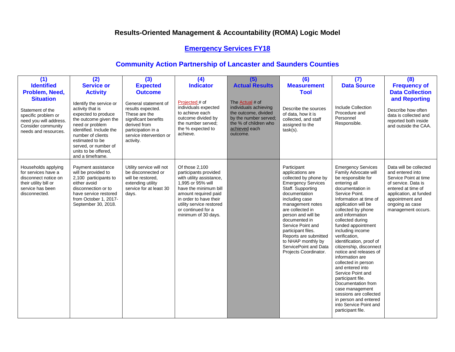# **Emergency Services FY18**

| (1)                                                                                                                                 | (2)                                                                                                                                                                                                                                                   | (3)                                                                                                                                                              | (4)                                                                                                                                                                                                                                          | (5)                                                                                                                                                    | (6)                                                                                                                                                                                                                                                                                                                                                                      | (7)                                                                                                                                                                                                                                                                                                                                                                                                                                                                                                                                                                                                                                        | (8)                                                                                                                                                                                                    |
|-------------------------------------------------------------------------------------------------------------------------------------|-------------------------------------------------------------------------------------------------------------------------------------------------------------------------------------------------------------------------------------------------------|------------------------------------------------------------------------------------------------------------------------------------------------------------------|----------------------------------------------------------------------------------------------------------------------------------------------------------------------------------------------------------------------------------------------|--------------------------------------------------------------------------------------------------------------------------------------------------------|--------------------------------------------------------------------------------------------------------------------------------------------------------------------------------------------------------------------------------------------------------------------------------------------------------------------------------------------------------------------------|--------------------------------------------------------------------------------------------------------------------------------------------------------------------------------------------------------------------------------------------------------------------------------------------------------------------------------------------------------------------------------------------------------------------------------------------------------------------------------------------------------------------------------------------------------------------------------------------------------------------------------------------|--------------------------------------------------------------------------------------------------------------------------------------------------------------------------------------------------------|
| <b>Identified</b>                                                                                                                   | <b>Service or</b>                                                                                                                                                                                                                                     | <b>Expected</b>                                                                                                                                                  | <b>Indicator</b>                                                                                                                                                                                                                             | <b>Actual Results</b>                                                                                                                                  | <b>Measurement</b>                                                                                                                                                                                                                                                                                                                                                       | <b>Data Source</b>                                                                                                                                                                                                                                                                                                                                                                                                                                                                                                                                                                                                                         | <b>Frequency of</b>                                                                                                                                                                                    |
| Problem, Need,                                                                                                                      | <b>Activity</b>                                                                                                                                                                                                                                       | <b>Outcome</b>                                                                                                                                                   |                                                                                                                                                                                                                                              |                                                                                                                                                        | <b>Tool</b>                                                                                                                                                                                                                                                                                                                                                              |                                                                                                                                                                                                                                                                                                                                                                                                                                                                                                                                                                                                                                            | <b>Data Collection</b>                                                                                                                                                                                 |
| <b>Situation</b><br>Statement of the<br>specific problem or<br>need you will address.<br>Consider community<br>needs and resources. | Identify the service or<br>activity that is<br>expected to produce<br>the outcome given the<br>need or problem<br>identified. Include the<br>number of clients<br>estimated to be<br>served, or number of<br>units to be offered.<br>and a timeframe. | General statement of<br>results expected.<br>These are the<br>significant benefits<br>derived from<br>participation in a<br>service intervention or<br>activity. | Projected # of<br>individuals expected<br>to achieve each<br>outcome divided by<br>the number served;<br>the % expected to<br>achieve.                                                                                                       | The <b>Actual</b> # of<br>individuals achieving<br>the outcome, divided<br>by the number served;<br>the % of children who<br>achieved each<br>outcome. | Describe the sources<br>of data, how it is<br>collected, and staff<br>assigned to the<br>$task(s)$ .                                                                                                                                                                                                                                                                     | Include Collection<br>Procedure and<br>Personnel<br>Responsible.                                                                                                                                                                                                                                                                                                                                                                                                                                                                                                                                                                           | and Reporting<br>Describe how often<br>data is collected and<br>reported both inside<br>and outside the CAA.                                                                                           |
| Households applying<br>for services have a<br>disconnect notice on<br>their utility bill or<br>service has been<br>disconnected.    | Payment assistance<br>will be provided to<br>2,100 participants to<br>either avoid<br>disconnection or to<br>have service restored<br>from October 1, 2017-<br>September 30, 2018.                                                                    | Utility service will not<br>be disconnected or<br>will be restored.<br>extending utility<br>service for at least 30<br>days.                                     | Of those 2.100<br>participants provided<br>with utility assistance,<br>1,995 or 95% will<br>have the minimum bill<br>amount required paid<br>in order to have their<br>utility service restored<br>or continued for a<br>minimum of 30 days. |                                                                                                                                                        | Participant<br>applications are<br>collected by phone by<br><b>Emergency Services</b><br>Staff. Supporting<br>documentation<br>including case<br>management notes<br>are collected in<br>person and will be<br>documented in<br>Service Point and<br>participant files.<br>Reports are submitted<br>to NHAP monthly by<br>ServicePoint and Data<br>Projects Coordinator. | <b>Emergency Services</b><br>Family Advocate will<br>be responsible for<br>entering all<br>documentation in<br>Service Point.<br>Information at time of<br>application will be<br>collected by phone<br>and information<br>collected during<br>funded appointment<br>including income<br>verification,<br>identification, proof of<br>citizenship, disconnect<br>notice and releases of<br>information are<br>collected in person<br>and entered into<br>Service Point and<br>participant file.<br>Documentation from<br>case management<br>sessions are collected<br>in person and entered<br>into Service Point and<br>participant file. | Data will be collected<br>and entered into<br>Service Point at time<br>of service. Data is<br>entered at time of<br>application, at funded<br>appointment and<br>ongoing as case<br>management occurs. |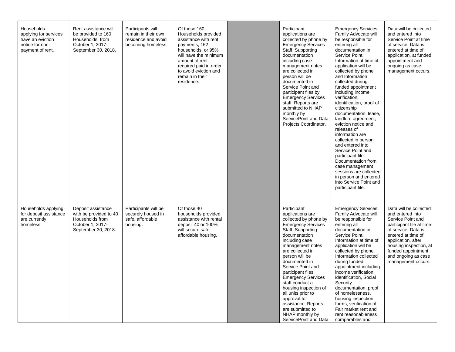| Households<br>applying for services<br>have an eviction<br>notice for non-<br>payment of rent. | Rent assistance will<br>be provided to 160<br>Households from<br>October 1, 2017-<br>September 30, 2018.   | Participants will<br>remain in their own<br>residence and avoid<br>becoming homeless. | Of those 160<br>Households provided<br>assistance with rent<br>payments, 152<br>households, or 95%<br>will have the minimum<br>amount of rent<br>required paid in order<br>to avoid eviction and<br>remain in their<br>residence. | Participant<br>applications are<br>collected by phone by<br><b>Emergency Services</b><br>Staff. Supporting<br>documentation<br>including case<br>management notes<br>are collected in<br>person will be<br>documented in<br>Service Point and<br>participant files by<br><b>Emergency Services</b><br>staff. Reports are<br>submitted to NHAP<br>monthly by<br>ServicePoint and Data<br>Projects Coordinator.                                                             | <b>Emergency Services</b><br>Family Advocate will<br>be responsible for<br>entering all<br>documentation in<br>Service Point.<br>Information at time of<br>application will be<br>collected by phone<br>and Information<br>collected during<br>funded appointment<br>including income<br>verification,<br>identification, proof of<br>citizenship<br>documentation, lease,<br>landlord agreement,<br>eviction notice and<br>releases of<br>information are<br>collected in person<br>and entered into<br>Service Point and<br>participant file.<br>Documentation from<br>case management<br>sessions are collected<br>in person and entered<br>into Service Point and<br>participant file. | Data will be collected<br>and entered into<br>Service Point at time<br>of service. Data is<br>entered at time of<br>application, at funded<br>appointment and<br>ongoing as case<br>management occurs.                                                      |
|------------------------------------------------------------------------------------------------|------------------------------------------------------------------------------------------------------------|---------------------------------------------------------------------------------------|-----------------------------------------------------------------------------------------------------------------------------------------------------------------------------------------------------------------------------------|---------------------------------------------------------------------------------------------------------------------------------------------------------------------------------------------------------------------------------------------------------------------------------------------------------------------------------------------------------------------------------------------------------------------------------------------------------------------------|--------------------------------------------------------------------------------------------------------------------------------------------------------------------------------------------------------------------------------------------------------------------------------------------------------------------------------------------------------------------------------------------------------------------------------------------------------------------------------------------------------------------------------------------------------------------------------------------------------------------------------------------------------------------------------------------|-------------------------------------------------------------------------------------------------------------------------------------------------------------------------------------------------------------------------------------------------------------|
| Households applying<br>for deposit assistance<br>are currently<br>homeless.                    | Deposit assistance<br>with be provided to 40<br>Households from<br>October 1, 2017-<br>September 30, 2018. | Participants will be<br>securely housed in<br>safe, affordable<br>housing.            | Of those 40<br>households provided<br>assistance with rental<br>deposit 40 or 100%<br>will secure safe,<br>affordable housing.                                                                                                    | Participant<br>applications are<br>collected by phone by<br><b>Emergency Services</b><br>Staff. Supporting<br>documentation<br>including case<br>management notes<br>are collected in<br>person will be<br>documented in<br>Service Point and<br>participant files.<br><b>Emergency Services</b><br>staff conduct a<br>housing inspection of<br>all units prior to<br>approval for<br>assistance. Reports<br>are submitted to<br>NHAP monthly by<br>ServicePoint and Data | <b>Emergency Services</b><br>Family Advocate will<br>be responsible for<br>entering all<br>documentation in<br>Service Point.<br>Information at time of<br>application will be<br>collected by phone.<br>Information collected<br>during funded<br>appointment including<br>income verification,<br>identification, Social<br>Security<br>documentation, proof<br>of homelessness,<br>housing inspection<br>forms, verification of<br>Fair market rent and<br>rent reasonableness<br>comparables and                                                                                                                                                                                       | Data will be collected<br>and entered into<br>Service Point and<br>participant file at time<br>of service. Data is<br>entered at time of<br>application, after<br>housing inspection, at<br>funded appointment<br>and ongoing as case<br>management occurs. |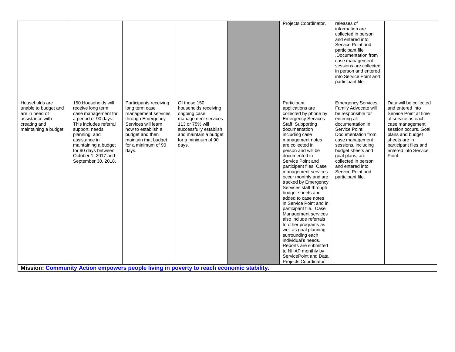|                                                                                                                      |                                                                                                                                                                                                                                                                    |                                                                                                                                                                                                              |                                                                                                                                                                                                                                                                               | Projects Coordinator.                                                                                                                                                                                                                                                                                                                                                                                                                                                                                                                                                                                                                                                                                                        | releases of<br>information are<br>collected in person<br>and entered into<br>Service Point and<br>participant file<br>.Documentation from<br>case management<br>sessions are collected<br>in person and entered<br>into Service Point and<br>participant file.                                                             |                                                                                                                                                                                                                                      |
|----------------------------------------------------------------------------------------------------------------------|--------------------------------------------------------------------------------------------------------------------------------------------------------------------------------------------------------------------------------------------------------------------|--------------------------------------------------------------------------------------------------------------------------------------------------------------------------------------------------------------|-------------------------------------------------------------------------------------------------------------------------------------------------------------------------------------------------------------------------------------------------------------------------------|------------------------------------------------------------------------------------------------------------------------------------------------------------------------------------------------------------------------------------------------------------------------------------------------------------------------------------------------------------------------------------------------------------------------------------------------------------------------------------------------------------------------------------------------------------------------------------------------------------------------------------------------------------------------------------------------------------------------------|----------------------------------------------------------------------------------------------------------------------------------------------------------------------------------------------------------------------------------------------------------------------------------------------------------------------------|--------------------------------------------------------------------------------------------------------------------------------------------------------------------------------------------------------------------------------------|
| Households are<br>unable to budget and<br>are in need of<br>assistance with<br>creating and<br>maintaining a budget. | 150 Households will<br>receive long term<br>case management for<br>a period of 90 days.<br>This includes referral<br>support, needs<br>planning, and<br>assistance in<br>maintaining a budget<br>for 90 days between<br>October 1, 2017 and<br>September 30, 2018. | Participants receiving<br>long term case<br>management services<br>through Emergency<br>Services will learn<br>how to establish a<br>budget and then<br>maintain that budget<br>for a minimum of 90<br>days. | Of those 150<br>households receiving<br>ongoing case<br>management services<br>113 or 75% will<br>successfully establish<br>and maintain a budget<br>for a minimum of 90<br>days.<br>Mission: Community Action empowers people living in poverty to reach economic stability. | Participant<br>applications are<br>collected by phone by<br><b>Emergency Services</b><br>Staff. Supporting<br>documentation<br>including case<br>management notes<br>are collected in<br>person and will be<br>documented in<br>Service Point and<br>participant files. Case<br>management services<br>occur monthly and are<br>tracked by Emergency<br>Services staff through<br>budget sheets and<br>added to case notes<br>in Service Point and in<br>participant file. Case<br>Management services<br>also include referrals<br>to other programs as<br>well as goal planning<br>surrounding each<br>individual's needs.<br>Reports are submitted<br>to NHAP monthly by<br>ServicePoint and Data<br>Projects Coordinator | <b>Emergency Services</b><br>Family Advocate will<br>be responsible for<br>entering all<br>documentation in<br>Service Point.<br>Documentation from<br>case management<br>sessions, including<br>budget sheets and<br>goal plans, are<br>collected in person<br>and entered into<br>Service Point and<br>participant file. | Data will be collected<br>and entered into<br>Service Point at time<br>of service as each<br>case management<br>session occurs. Goal<br>plans and budget<br>sheets are in<br>participant files and<br>entered into Service<br>Point. |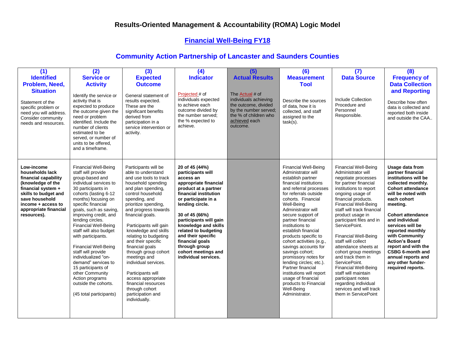## **Financial Well-Being FY18**

| (1)<br><b>Identified</b><br>Problem, Need,<br><b>Situation</b><br>Statement of the<br>specific problem or<br>need you will address.<br>Consider community<br>needs and resources.                        | (2)<br><b>Service or</b><br><b>Activity</b><br>Identify the service or<br>activity that is<br>expected to produce<br>the outcome given the<br>need or problem<br>identified. Include the<br>number of clients<br>estimated to be<br>served, or number of<br>units to be offered.<br>and a timeframe.                                                                                                                                                                                                                                                               | (3)<br><b>Expected</b><br><b>Outcome</b><br>General statement of<br>results expected.<br>These are the<br>significant benefits<br>derived from<br>participation in a<br>service intervention or<br>activity.                                                                                                                                                                                                                                                                                                                             | (4)<br><b>Indicator</b><br>Projected # of<br>individuals expected<br>to achieve each<br>outcome divided by<br>the number served:<br>the % expected to<br>achieve.                                                                                                                                                                                                         | (5)<br><b>Actual Results</b><br>The <b>Actual</b> # of<br>individuals achieving<br>the outcome, divided<br>by the number served;<br>the % of children who<br>achieved each<br>outcome. | (6)<br><b>Measurement</b><br><b>Tool</b><br>Describe the sources<br>of data, how it is<br>collected, and staff<br>assigned to the<br>$task(s)$ .                                                                                                                                                                                                                                                                                                                                                                                                                                    | (7)<br><b>Data Source</b><br>Include Collection<br>Procedure and<br>Personnel<br>Responsible.                                                                                                                                                                                                                                                                                                                                                                                                                                                                                                          | (8)<br><b>Frequency of</b><br><b>Data Collection</b><br>and Reporting<br>Describe how often<br>data is collected and<br>reported both inside<br>and outside the CAA                                                                                                                                                                                                                                         |
|----------------------------------------------------------------------------------------------------------------------------------------------------------------------------------------------------------|--------------------------------------------------------------------------------------------------------------------------------------------------------------------------------------------------------------------------------------------------------------------------------------------------------------------------------------------------------------------------------------------------------------------------------------------------------------------------------------------------------------------------------------------------------------------|------------------------------------------------------------------------------------------------------------------------------------------------------------------------------------------------------------------------------------------------------------------------------------------------------------------------------------------------------------------------------------------------------------------------------------------------------------------------------------------------------------------------------------------|---------------------------------------------------------------------------------------------------------------------------------------------------------------------------------------------------------------------------------------------------------------------------------------------------------------------------------------------------------------------------|----------------------------------------------------------------------------------------------------------------------------------------------------------------------------------------|-------------------------------------------------------------------------------------------------------------------------------------------------------------------------------------------------------------------------------------------------------------------------------------------------------------------------------------------------------------------------------------------------------------------------------------------------------------------------------------------------------------------------------------------------------------------------------------|--------------------------------------------------------------------------------------------------------------------------------------------------------------------------------------------------------------------------------------------------------------------------------------------------------------------------------------------------------------------------------------------------------------------------------------------------------------------------------------------------------------------------------------------------------------------------------------------------------|-------------------------------------------------------------------------------------------------------------------------------------------------------------------------------------------------------------------------------------------------------------------------------------------------------------------------------------------------------------------------------------------------------------|
| Low-income<br>households lack<br>financial capability<br>(knowledge of the<br>financial system +<br>skills to budget and<br>save household<br>income + access to<br>appropriate financial<br>resources). | <b>Financial Well-Being</b><br>staff will provide<br>group-based and<br>individual services to<br>30 participants in<br>cohorts (lasting 6-12<br>months) focusing on<br>specific financial<br>goals, such as saving,<br>improving credit, and<br>lending circles.<br><b>Financial Well-Being</b><br>staff will also budget<br>with participants.<br><b>Financial Well-Being</b><br>staff will provide<br>individualized "on-<br>demand" services to<br>15 participants of<br>other Community<br>Action programs<br>outside the cohorts.<br>(45 total participants) | Participants will be<br>able to understand<br>and use tools to track<br>household spending<br>and plan spending,<br>control household<br>spending, and<br>prioritize spending,<br>and progress towards<br>financial goals.<br>Participants will gain<br>knowledge and skills<br>relating to budgeting<br>and their specific<br>financial goals<br>through group cohort<br>meetings and<br>individual services.<br>Participants will<br>access appropriate<br>financial resources<br>through cohort<br>participation and<br>individually. | 20 of 45 (44%)<br>participants will<br>access an<br>appropriate financial<br>product at a partner<br>financial institution<br>or participate in a<br>lending circle.<br>30 of 45 (66%)<br>participants will gain<br>knowledge and skills<br>related to budgeting<br>and their specific<br>financial goals<br>through group<br>cohort meetings and<br>individual services. |                                                                                                                                                                                        | <b>Financial Well-Being</b><br>Administrator will<br>establish partner<br>financial institutions<br>and referral processes<br>for referrals outside<br>cohorts. Financial<br>Well-Being<br>Administrator will<br>secure support of<br>partner financial<br>institutions to<br>establish financial<br>products specific to<br>cohort activities (e.g.,<br>savings accounts for<br>savings cohort;<br>promissory notes for<br>lending circles; etc.).<br>Partner financial<br>institutions will report<br>usage of financial<br>products to Financial<br>Well-Being<br>Administrator. | <b>Financial Well-Being</b><br>Administrator will<br>negotiate processes<br>for partner financial<br>institutions to report<br>ongoing usage of<br>financial products.<br><b>Financial Well-Being</b><br>staff will track financial<br>product usage in<br>participant files and in<br>ServicePoint.<br><b>Financial Well-Being</b><br>staff will collect<br>attendance sheets at<br>cohort group meetings<br>and track them in<br>ServicePoint.<br><b>Financial Well-Being</b><br>staff will maintain<br>participant notes<br>regarding individual<br>services and will track<br>them in ServicePoint | Usage data from<br>partner financial<br>institutions will be<br>collected monthly.<br><b>Cohort attendance</b><br>will be noted with<br>each cohort<br>meeting.<br><b>Cohort attendance</b><br>and individual<br>services will be<br>reported monthly<br>with Community<br><b>Action's Board</b><br>report and with the<br>CSBG 6-month and<br>annual reports and<br>any other funder-<br>required reports. |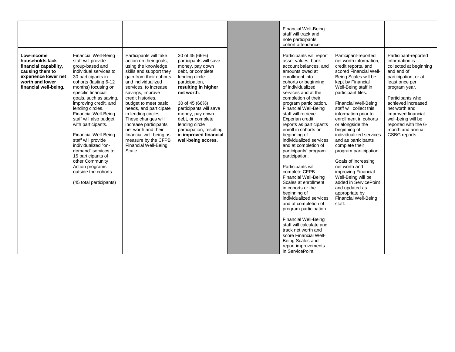|                                                                                                                                               |                                                                                                                                                                                                                                                                                                                                                                                                                                                                                                                                                                    |                                                                                                                                                                                                                                                                                                                                                                                                                                                                   |                                                                                                                                                                                                                                                                                                                                            | <b>Financial Well-Being</b><br>staff will track and<br>note participants'<br>cohort attendance.                                                                                                                                                                                                                                                                                                                                                                                                                                                                                                                                                                                                                                                                                                                                                                      |                                                                                                                                                                                                                                                                                                                                                                                                                                                                                                                                                                                                                                   |                                                                                                                                                                                                                                                                                                               |
|-----------------------------------------------------------------------------------------------------------------------------------------------|--------------------------------------------------------------------------------------------------------------------------------------------------------------------------------------------------------------------------------------------------------------------------------------------------------------------------------------------------------------------------------------------------------------------------------------------------------------------------------------------------------------------------------------------------------------------|-------------------------------------------------------------------------------------------------------------------------------------------------------------------------------------------------------------------------------------------------------------------------------------------------------------------------------------------------------------------------------------------------------------------------------------------------------------------|--------------------------------------------------------------------------------------------------------------------------------------------------------------------------------------------------------------------------------------------------------------------------------------------------------------------------------------------|----------------------------------------------------------------------------------------------------------------------------------------------------------------------------------------------------------------------------------------------------------------------------------------------------------------------------------------------------------------------------------------------------------------------------------------------------------------------------------------------------------------------------------------------------------------------------------------------------------------------------------------------------------------------------------------------------------------------------------------------------------------------------------------------------------------------------------------------------------------------|-----------------------------------------------------------------------------------------------------------------------------------------------------------------------------------------------------------------------------------------------------------------------------------------------------------------------------------------------------------------------------------------------------------------------------------------------------------------------------------------------------------------------------------------------------------------------------------------------------------------------------------|---------------------------------------------------------------------------------------------------------------------------------------------------------------------------------------------------------------------------------------------------------------------------------------------------------------|
| Low-income<br>households lack<br>financial capability,<br>causing them to<br>experience lower net<br>worth and lower<br>financial well-being. | <b>Financial Well-Being</b><br>staff will provide<br>group-based and<br>individual services to<br>30 participants in<br>cohorts (lasting 6-12<br>months) focusing on<br>specific financial<br>goals, such as saving,<br>improving credit, and<br>lending circles.<br><b>Financial Well-Being</b><br>staff will also budget<br>with participants.<br><b>Financial Well-Being</b><br>staff will provide<br>individualized "on-<br>demand" services to<br>15 participants of<br>other Community<br>Action programs<br>outside the cohorts.<br>(45 total participants) | Participants will take<br>action on their goals,<br>using the knowledge,<br>skills and support they<br>gain from their cohorts<br>and individualized<br>services, to increase<br>savings, improve<br>credit histories.<br>budget to meet basic<br>needs, and participate<br>in lending circles.<br>These changes will<br>increase participants'<br>net worth and their<br>financial well-being as<br>measure by the CFPB<br><b>Financial Well-Being</b><br>Scale. | 30 of 45 (66%)<br>participants will save<br>money, pay down<br>debt, or complete<br>lending circle<br>participation,<br>resulting in higher<br>net worth.<br>30 of 45 (66%)<br>participants will save<br>money, pay down<br>debt, or complete<br>lending circle<br>participation, resulting<br>in improved financial<br>well-being scores. | Participants will report<br>asset values, bank<br>account balances, and<br>amounts owed at<br>enrollment into<br>cohorts or beginning<br>of individualized<br>services and at the<br>completion of their<br>program participation.<br><b>Financial Well-Being</b><br>staff will retrieve<br>Experian credit<br>reports as participants<br>enroll in cohorts or<br>beginning of<br>individualized services<br>and at completion of<br>participants' program<br>participation.<br>Participants will<br>complete CFPB<br><b>Financial Well-Being</b><br>Scales at enrollment<br>in cohorts or the<br>beginning of<br>individualized services<br>and at completion of<br>program participation.<br><b>Financial Well-Being</b><br>staff will calculate and<br>track net worth and<br>score Financial Well-<br>Being Scales and<br>report improvements<br>in ServicePoint | Participant-reported<br>net worth information,<br>credit reports, and<br>scored Financial Well-<br>Being Scales will be<br>kept by Financial<br>Well-Being staff in<br>participant files.<br><b>Financial Well-Being</b><br>staff will collect this<br>information prior to<br>enrollment in cohorts<br>or alongside the<br>beginning of<br>individualized services<br>and as participants<br>complete their<br>program participation.<br>Goals of increasing<br>net worth and<br>improving Financial<br>Well-Being will be<br>added in ServicePoint<br>and updated as<br>appropriate by<br><b>Financial Well-Being</b><br>staff. | Participant-reported<br>information is<br>collected at beginning<br>and end of<br>participation, or at<br>least once per<br>program year.<br>Participants who<br>achieved increased<br>net worth and<br>improved financial<br>well-being will be<br>reported with the 6-<br>month and annual<br>CSBG reports. |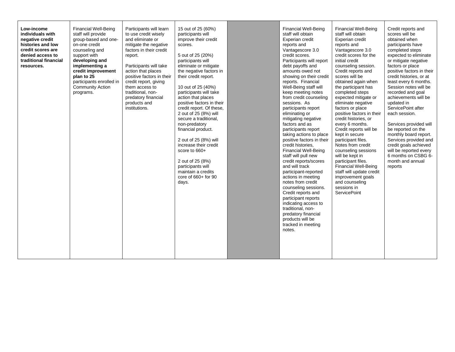| Low-income<br>individuals with<br>negative credit<br>histories and low<br>credit scores are<br>denied access to<br>traditional financial<br>resources. | <b>Financial Well-Being</b><br>staff will provide<br>group-based and one-<br>on-one credit<br>counseling and<br>support with<br>developing and<br>implementing a<br>credit improvement<br>plan to 25<br>participants enrolled in<br><b>Community Action</b><br>programs. | Participants will learn<br>to use credit wiselv<br>and eliminate or<br>mitigate the negative<br>factors in their credit<br>report.<br>Participants will take<br>action that places<br>positive factors in their<br>credit report, giving<br>them access to<br>traditional, non-<br>predatory financial<br>products and<br>institutions. | 15 out of 25 (60%)<br>participants will<br>improve their credit<br>scores.<br>5 out of 25 (20%)<br>participants will<br>eliminate or mitigate<br>the negative factors in<br>their credit report.<br>10 out of 25 (40%)<br>participants will take<br>action that places<br>positive factors in their<br>credit report. Of these,<br>2 out of 25 (8%) will<br>secure a traditional,<br>non-predatory<br>financial product.<br>2 out of 25 (8%) will<br>increase their credit<br>score to 660+<br>2 out of 25 (8%)<br>participants will<br>maintain a credits<br>core of $660+$ for 90<br>days. |  | <b>Financial Well-Being</b><br>staff will obtain<br>Experian credit<br>reports and<br>Vantagescore 3.0<br>credit scores.<br>Participants will report<br>debt payoffs and<br>amounts owed not<br>showing on their credit<br>reports. Financial<br>Well-Being staff will<br>keep meeting notes<br>from credit counseling<br>sessions. As<br>participants report<br>eliminating or<br>mitigating negative<br>factors and as<br>participants report<br>taking actions to place<br>positive factors in their<br>credit histories.<br><b>Financial Well-Being</b><br>staff will pull new<br>credit reports/scores<br>and will track<br>participant-reported<br>actions in meeting<br>notes from credit<br>counseling sessions.<br>Credit reports and<br>participant reports<br>indicating access to<br>traditional, non-<br>predatory financial<br>products will be<br>tracked in meeting<br>notes. | <b>Financial Well-Being</b><br>staff will obtain<br>Experian credit<br>reports and<br>Vantagescore 3.0<br>credit scores for the<br>initial credit<br>counseling session.<br>Credit reports and<br>scores will be<br>obtained again when<br>the participant has<br>completed steps<br>expected mitigate or<br>eliminate negative<br>factors or place<br>positive factors in their<br>credit histories, or<br>every 6 months.<br>Credit reports will be<br>kept in secure<br>participant files.<br>Notes from credit<br>counseling sessions<br>will be kept in<br>participant files.<br><b>Financial Well-Being</b><br>staff will update credit<br>improvement goals<br>and counseling<br>sessions in<br><b>ServicePoint</b> | Credit reports and<br>scores will be<br>obtained when<br>participants have<br>completed steps<br>expected to eliminate<br>or mitigate negative<br>factors or place<br>positive factors in their<br>credit histories, or at<br>least every 6 months.<br>Session notes will be<br>recorded and goal<br>achievements will be<br>updated in<br>ServicePoint after<br>each session.<br>Services provided will<br>be reported on the<br>monthly board report.<br>Services provided and<br>credit goals achieved<br>will be reported every<br>6 months on CSBG 6-<br>month and annual<br>reports |
|--------------------------------------------------------------------------------------------------------------------------------------------------------|--------------------------------------------------------------------------------------------------------------------------------------------------------------------------------------------------------------------------------------------------------------------------|-----------------------------------------------------------------------------------------------------------------------------------------------------------------------------------------------------------------------------------------------------------------------------------------------------------------------------------------|----------------------------------------------------------------------------------------------------------------------------------------------------------------------------------------------------------------------------------------------------------------------------------------------------------------------------------------------------------------------------------------------------------------------------------------------------------------------------------------------------------------------------------------------------------------------------------------------|--|-----------------------------------------------------------------------------------------------------------------------------------------------------------------------------------------------------------------------------------------------------------------------------------------------------------------------------------------------------------------------------------------------------------------------------------------------------------------------------------------------------------------------------------------------------------------------------------------------------------------------------------------------------------------------------------------------------------------------------------------------------------------------------------------------------------------------------------------------------------------------------------------------|----------------------------------------------------------------------------------------------------------------------------------------------------------------------------------------------------------------------------------------------------------------------------------------------------------------------------------------------------------------------------------------------------------------------------------------------------------------------------------------------------------------------------------------------------------------------------------------------------------------------------------------------------------------------------------------------------------------------------|-------------------------------------------------------------------------------------------------------------------------------------------------------------------------------------------------------------------------------------------------------------------------------------------------------------------------------------------------------------------------------------------------------------------------------------------------------------------------------------------------------------------------------------------------------------------------------------------|
|--------------------------------------------------------------------------------------------------------------------------------------------------------|--------------------------------------------------------------------------------------------------------------------------------------------------------------------------------------------------------------------------------------------------------------------------|-----------------------------------------------------------------------------------------------------------------------------------------------------------------------------------------------------------------------------------------------------------------------------------------------------------------------------------------|----------------------------------------------------------------------------------------------------------------------------------------------------------------------------------------------------------------------------------------------------------------------------------------------------------------------------------------------------------------------------------------------------------------------------------------------------------------------------------------------------------------------------------------------------------------------------------------------|--|-----------------------------------------------------------------------------------------------------------------------------------------------------------------------------------------------------------------------------------------------------------------------------------------------------------------------------------------------------------------------------------------------------------------------------------------------------------------------------------------------------------------------------------------------------------------------------------------------------------------------------------------------------------------------------------------------------------------------------------------------------------------------------------------------------------------------------------------------------------------------------------------------|----------------------------------------------------------------------------------------------------------------------------------------------------------------------------------------------------------------------------------------------------------------------------------------------------------------------------------------------------------------------------------------------------------------------------------------------------------------------------------------------------------------------------------------------------------------------------------------------------------------------------------------------------------------------------------------------------------------------------|-------------------------------------------------------------------------------------------------------------------------------------------------------------------------------------------------------------------------------------------------------------------------------------------------------------------------------------------------------------------------------------------------------------------------------------------------------------------------------------------------------------------------------------------------------------------------------------------|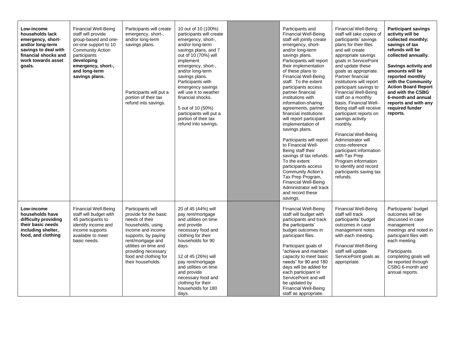| Low-income<br>households lack<br>emergency, short-<br>and/or long-term<br>savings to deal with<br>financial shocks and<br>work towards asset<br>goals. | <b>Financial Well-Being</b><br>staff will provide<br>group-based and one-<br>on-one support to 10<br><b>Community Action</b><br>participants<br>developing<br>emergency, short-,<br>and long-term<br>savings plans. | Participants will create<br>emergency, short-,<br>and/or long-term<br>savings plans.<br>Participants will put a<br>portion of their tax<br>refund into savings.                                                                                  | 10 out of 10 (100%)<br>participants will create<br>emergency, short-,<br>and/or long-term<br>savings plans, and 7<br>out of 10 (70%) will<br>implement<br>emergency, short-,<br>and/or long-term<br>savings plans.<br>Participants with<br>emergency savings<br>will use it to weather<br>financial shocks.<br>5 out of 10 (50%)<br>participants will put a<br>portion of their tax<br>refund into savings. | Participants and<br><b>Financial Well-Being</b><br>staff will jointly create<br>emergency, short-<br>and/or long-term<br>savings plans.<br>Participants will report<br>their implementation<br>of these plans to<br><b>Financial Well-Being</b><br>staff. To the extent<br>participants access<br>partner financial<br>institutions with<br>information-sharing<br>agreements, partner<br>financial institutions<br>will report participant<br>implementation of<br>savings plans.<br>Participants will report<br>to Financial Well-<br>Being staff their<br>savings of tax refunds.<br>To the extent<br>participants access<br>Community Action's<br>Tax Prep Program,<br><b>Financial Well-Being</b><br>Administrator will track<br>and record these<br>savings. | <b>Financial Well-Being</b><br>staff will take copies of<br>participants' savings<br>plans for their files<br>and will create<br>appropriate savings<br>goals in ServicePoint<br>and update these<br>goals as appropriate.<br>Partner financial<br>institutions will report<br>participant savings to<br><b>Financial Well-Being</b><br>staff on a monthly<br>basis. Financial Well-<br>Being staff will receive<br>participant reports on<br>savings activity<br>monthly.<br><b>Financial Well-Being</b><br>Administrator will<br>cross-reference<br>participant information<br>with Tax Prep<br>Program information<br>to identify and record<br>participants saving tax<br>refunds. | <b>Participant savings</b><br>activity will be<br>collected monthly;<br>savings of tax<br>refunds will be<br>collected annually.<br>Savings activity and<br>amounts will be<br>reported monthly<br>with the Community<br><b>Action Board Report</b><br>and with the CSBG<br>6-month and annual<br>reports and with any<br>required funder<br>reports. |
|--------------------------------------------------------------------------------------------------------------------------------------------------------|---------------------------------------------------------------------------------------------------------------------------------------------------------------------------------------------------------------------|--------------------------------------------------------------------------------------------------------------------------------------------------------------------------------------------------------------------------------------------------|-------------------------------------------------------------------------------------------------------------------------------------------------------------------------------------------------------------------------------------------------------------------------------------------------------------------------------------------------------------------------------------------------------------|--------------------------------------------------------------------------------------------------------------------------------------------------------------------------------------------------------------------------------------------------------------------------------------------------------------------------------------------------------------------------------------------------------------------------------------------------------------------------------------------------------------------------------------------------------------------------------------------------------------------------------------------------------------------------------------------------------------------------------------------------------------------|----------------------------------------------------------------------------------------------------------------------------------------------------------------------------------------------------------------------------------------------------------------------------------------------------------------------------------------------------------------------------------------------------------------------------------------------------------------------------------------------------------------------------------------------------------------------------------------------------------------------------------------------------------------------------------------|-------------------------------------------------------------------------------------------------------------------------------------------------------------------------------------------------------------------------------------------------------------------------------------------------------------------------------------------------------|
| Low-income<br>households have<br>difficulty providing<br>their basic needs<br>including shelter,<br>food, and clothing                                 | <b>Financial Well-Being</b><br>staff will budget with<br>45 participants to<br>identify income and<br>income supports<br>available to meet<br>basic needs.                                                          | Participants will<br>provide for the basic<br>needs of their<br>households, using<br>income and income<br>supports, by paying<br>rent/mortgage and<br>utilities on time and<br>providing necessary<br>food and clothing for<br>their households. | 20 of 45 (44%) will<br>pay rent/mortgage<br>and utilities on time<br>and provide<br>necessary food and<br>clothing for their<br>households for 90<br>days.<br>12 of 45 (26%) will<br>pay rent/mortgage<br>and utilities on time<br>and provide<br>necessary food and<br>clothing for their<br>households for 180<br>days.                                                                                   | <b>Financial Well-Being</b><br>staff will budget with<br>participants and track<br>the participants'<br>budget outcomes in<br>participant files.<br>Participant goals of<br>"achieve and maintain<br>capacity to meet basic<br>needs" for 90 and 180<br>days will be added for<br>each participant in<br>ServicePoint and will<br>be updated by<br><b>Financial Well-Being</b><br>staff as appropriate.                                                                                                                                                                                                                                                                                                                                                            | <b>Financial Well-Being</b><br>staff will track<br>participants' budget<br>outcomes in case<br>management notes<br>with each meeting.<br><b>Financial Well-Being</b><br>staff will update<br>ServicePoint goals as<br>appropriate.                                                                                                                                                                                                                                                                                                                                                                                                                                                     | Participants' budget<br>outcomes will be<br>discussed in case<br>management<br>meetings and noted in<br>participant files with<br>each meeting.<br>Participants<br>completing goals will<br>be reported through<br>CSBG 6-month and<br>annual reports.                                                                                                |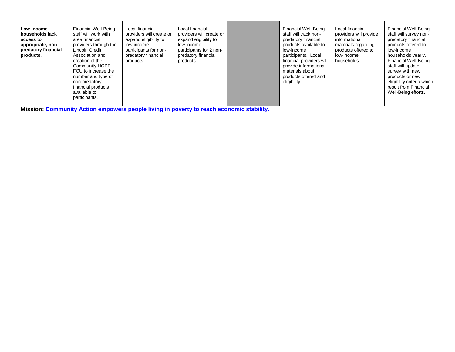| participants.<br>Mission: Community Action empowers people living in poverty to reach economic stability. |
|-----------------------------------------------------------------------------------------------------------|
|-----------------------------------------------------------------------------------------------------------|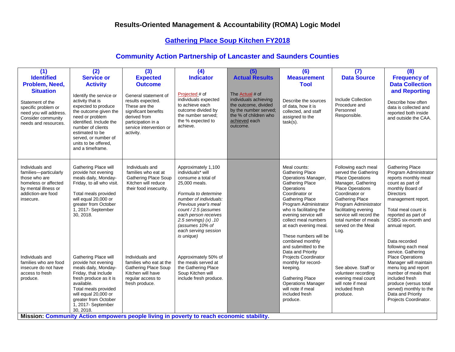#### **Gathering Place Soup Kitchen FY2018**

| (1)<br><b>Identified</b><br>Problem, Need,<br><b>Situation</b><br>Statement of the<br>specific problem or<br>need you will address.<br>Consider community<br>needs and resources. | (2)<br><b>Service or</b><br><b>Activity</b><br>Identify the service or<br>activity that is<br>expected to produce<br>the outcome given the<br>need or problem<br>identified. Include the<br>number of clients<br>estimated to be<br>served, or number of<br>units to be offered.<br>and a timeframe. | (3)<br><b>Expected</b><br><b>Outcome</b><br>General statement of<br>results expected.<br>These are the<br>significant benefits<br>derived from<br>participation in a<br>service intervention or<br>activity.                      | (4)<br><b>Indicator</b><br>Projected # of<br>individuals expected<br>to achieve each<br>outcome divided by<br>the number served;<br>the % expected to<br>achieve.                                                                                                                                | (5)<br><b>Actual Results</b><br>The Actual # of<br>individuals achieving<br>the outcome, divided<br>by the number served;<br>the % of children who<br>achieved each<br>outcome. | (6)<br><b>Measurement</b><br><b>Tool</b><br>Describe the sources<br>of data, how it is<br>collected, and staff<br>assigned to the<br>task(s).                                                                                                                                                                                                                            | (7)<br><b>Data Source</b><br>Include Collection<br>Procedure and<br>Personnel<br>Responsible.                                                                                                                                                                                                   | (8)<br><b>Frequency of</b><br><b>Data Collection</b><br>and Reporting<br>Describe how often<br>data is collected and<br>reported both inside<br>and outside the CAA.                                                                                                                                          |
|-----------------------------------------------------------------------------------------------------------------------------------------------------------------------------------|------------------------------------------------------------------------------------------------------------------------------------------------------------------------------------------------------------------------------------------------------------------------------------------------------|-----------------------------------------------------------------------------------------------------------------------------------------------------------------------------------------------------------------------------------|--------------------------------------------------------------------------------------------------------------------------------------------------------------------------------------------------------------------------------------------------------------------------------------------------|---------------------------------------------------------------------------------------------------------------------------------------------------------------------------------|--------------------------------------------------------------------------------------------------------------------------------------------------------------------------------------------------------------------------------------------------------------------------------------------------------------------------------------------------------------------------|-------------------------------------------------------------------------------------------------------------------------------------------------------------------------------------------------------------------------------------------------------------------------------------------------|---------------------------------------------------------------------------------------------------------------------------------------------------------------------------------------------------------------------------------------------------------------------------------------------------------------|
| Individuals and<br>families-particularly<br>those who are<br>homeless or affected<br>by mental illness or<br>addiction-are food<br>insecure.                                      | Gathering Place will<br>provide hot evening<br>meals daily, Monday-<br>Friday, to all who visit.<br>Total meals provided<br>will equal 20,000 or<br>greater from October<br>1, 2017- September<br>30, 2018.                                                                                          | Individuals and<br>families who eat at<br><b>Gathering Place Soup</b><br>Kitchen will reduce<br>their food insecurity.                                                                                                            | Approximately 1,100<br>individuals* will<br>consume a total of<br>25,000 meals.<br>Formula to determine<br>number of individuals:<br>Previous year's meal<br>count / 2.5 (assumes<br>each person receives<br>$2.5$ servings) $(x)$ . 10<br>(assumes 10% of<br>each serving session<br>is unique) |                                                                                                                                                                                 | Meal counts:<br><b>Gathering Place</b><br>Operations Manager,<br><b>Gathering Place</b><br>Operations<br>Coordinator or<br><b>Gathering Place</b><br>Program Administrator<br>who is facilitating the<br>evening service will<br>collect meal numbers<br>at each evening meal.<br>These numbers will be<br>combined monthly<br>and submitted to the<br>Data and Priority | Following each meal<br>served the Gathering<br><b>Place Operations</b><br>Manager, Gathering<br>Place Operations<br>Coordinator or<br><b>Gathering Place</b><br>Program Administrator<br>facilitating evening<br>service will record the<br>total number of meals<br>served on the Meal<br>Log. | <b>Gathering Place</b><br>Program Administrator<br>reports monthly meal<br>count as part of<br>monthly Board of<br><b>Directors</b><br>management report.<br>Total meal count is<br>reported as part of<br>CSBG six-month and<br>annual report.<br>Data recorded<br>following each meal<br>service. Gathering |
| Individuals and<br>families who are food<br>insecure do not have<br>access to fresh<br>produce.                                                                                   | Gathering Place will<br>provide hot evening<br>meals daily, Monday-<br>Friday, that include<br>fresh produce as it is<br>available.<br>Total meals provided<br>will equal 20,000 or<br>greater from October<br>1, 2017- September<br>30, 2018.                                                       | Individuals and<br>families who eat at the<br><b>Gathering Place Soup</b><br>Kitchen will have<br>regular access to<br>fresh produce.<br>Mission: Community Action empowers people living in poverty to reach economic stability. | Approximately 50% of<br>the meals served at<br>the Gathering Place<br>Soup Kitchen will<br>include fresh produce.                                                                                                                                                                                |                                                                                                                                                                                 | Projects Coordinator<br>monthly for record-<br>keeping.<br><b>Gathering Place</b><br><b>Operations Manager</b><br>will note if meal<br>included fresh<br>produce.                                                                                                                                                                                                        | See above. Staff or<br>volunteer recording<br>evening meal count<br>will note if meal<br>included fresh<br>produce.                                                                                                                                                                             | <b>Place Operations</b><br>Manager will maintain<br>menu log and report<br>number of meals that<br>included fresh<br>produce (versus total<br>served) monthly to the<br>Data and Priority<br>Projects Coordinator.                                                                                            |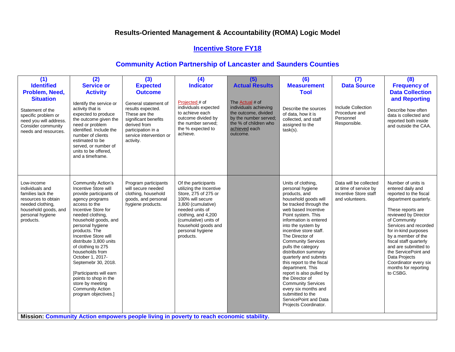## **Incentive Store FY18**

| (1)<br><b>Identified</b><br>Problem, Need,<br><b>Situation</b><br>Statement of the<br>specific problem or<br>need you will address.<br>Consider community<br>needs and resources. | (2)<br><b>Service or</b><br><b>Activity</b><br>Identify the service or<br>activity that is<br>expected to produce<br>the outcome given the<br>need or problem<br>identified. Include the<br>number of clients<br>estimated to be<br>served, or number of<br>units to be offered.<br>and a timeframe.                                                                                                                                                                                      | (3)<br><b>Expected</b><br><b>Outcome</b><br>General statement of<br>results expected.<br>These are the<br>significant benefits<br>derived from<br>participation in a<br>service intervention or<br>activity. | (4)<br><b>Indicator</b><br>Projected # of<br>individuals expected<br>to achieve each<br>outcome divided by<br>the number served;<br>the % expected to<br>achieve.                                                                           | (5)<br><b>Actual Results</b><br>The Actual # of<br>individuals achieving<br>the outcome, divided<br>by the number served;<br>the % of children who<br>achieved each<br>outcome. | (6)<br><b>Measurement</b><br><b>Tool</b><br>Describe the sources<br>of data, how it is<br>collected, and staff<br>assigned to the<br>$task(s)$ .                                                                                                                                                                                                                                                                                                                                                                                                                                   | (7)<br><b>Data Source</b><br>Include Collection<br>Procedure and<br>Personnel<br>Responsible. | (8)<br><b>Frequency of</b><br><b>Data Collection</b><br>and Reporting<br>Describe how often<br>data is collected and<br>reported both inside<br>and outside the CAA.                                                                                                                                                                                                                   |
|-----------------------------------------------------------------------------------------------------------------------------------------------------------------------------------|-------------------------------------------------------------------------------------------------------------------------------------------------------------------------------------------------------------------------------------------------------------------------------------------------------------------------------------------------------------------------------------------------------------------------------------------------------------------------------------------|--------------------------------------------------------------------------------------------------------------------------------------------------------------------------------------------------------------|---------------------------------------------------------------------------------------------------------------------------------------------------------------------------------------------------------------------------------------------|---------------------------------------------------------------------------------------------------------------------------------------------------------------------------------|------------------------------------------------------------------------------------------------------------------------------------------------------------------------------------------------------------------------------------------------------------------------------------------------------------------------------------------------------------------------------------------------------------------------------------------------------------------------------------------------------------------------------------------------------------------------------------|-----------------------------------------------------------------------------------------------|----------------------------------------------------------------------------------------------------------------------------------------------------------------------------------------------------------------------------------------------------------------------------------------------------------------------------------------------------------------------------------------|
| Low-income<br>individuals and<br>families lack the<br>resources to obtain<br>needed clothing,<br>household goods, and<br>personal hygiene<br>products.                            | <b>Community Action's</b><br>Incentive Store will<br>provide participants of<br>agency programs<br>access to the<br>Incentive Store for<br>needed clothing,<br>household goods, and<br>personal hygiene<br>products. The<br>Incentive Store will<br>distribute 3,800 units<br>of clothing to 275<br>households from<br>October 1, 2017-<br>Septemebr 30, 2018.<br>[Participants will earn<br>points to shop in the<br>store by meeting<br><b>Community Action</b><br>program objectives.] | Program participants<br>will secure needed<br>clothing, household<br>goods, and personal<br>hygiene products.<br>Mission: Community Action empowers people living in poverty to reach economic stability.    | Of the participants<br>utilizing the Incentive<br>Store, 275 of 275 or<br>100% will secure<br>3,800 (cumulative)<br>needed units of<br>clothing, and 4,200<br>(cumulative) units of<br>household goods and<br>personal hygiene<br>products. |                                                                                                                                                                                 | Units of clothing,<br>personal hygiene<br>products, and<br>household goods will<br>be tracked through the<br>web based Incentive<br>Point system. This<br>information is entered<br>into the system by<br>incentive store staff.<br>The Director of<br><b>Community Services</b><br>pulls the category<br>distribution summary<br>quarterly and submits<br>this report to the fiscal<br>department. This<br>report is also pulled by<br>the Director of<br><b>Community Services</b><br>every six months and<br>submitted to the<br>ServicePoint and Data<br>Projects Coordinator. | Data will be collected<br>at time of service by<br>Incentive Store staff<br>and volunteers.   | Number of units is<br>entered daily and<br>reported to the fiscal<br>department quarterly.<br>These reports are<br>reviewed by Director<br>of Community<br>Services and recorded<br>for in-kind purposes<br>by a member of the<br>fiscal staff quarterly<br>and are submitted to<br>the ServicePoint and<br>Data Projects<br>Coordinator every six<br>months for reporting<br>to CSBG. |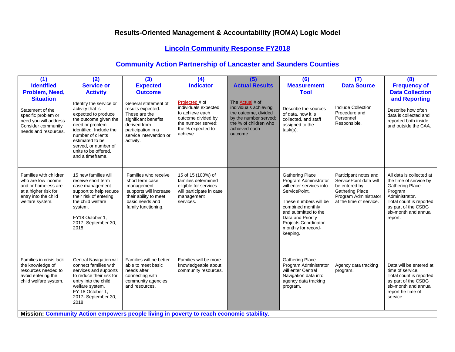## **Lincoln Community Response FY2018**

| (1)<br><b>Identified</b><br>Problem, Need,<br><b>Situation</b><br>Statement of the<br>specific problem or<br>need you will address.<br>Consider community<br>needs and resources. | (2)<br><b>Service or</b><br><b>Activity</b><br>Identify the service or<br>activity that is<br>expected to produce<br>the outcome given the<br>need or problem<br>identified. Include the<br>number of clients<br>estimated to be<br>served, or number of<br>units to be offered.<br>and a timeframe. | (3)<br><b>Expected</b><br><b>Outcome</b><br>General statement of<br>results expected.<br>These are the<br>significant benefits<br>derived from<br>participation in a<br>service intervention or<br>activity.        | (4)<br><b>Indicator</b><br>Projected # of<br>individuals expected<br>to achieve each<br>outcome divided by<br>the number served:<br>the % expected to<br>achieve. | (5)<br><b>Actual Results</b><br>The Actual # of<br>individuals achieving<br>the outcome, divided<br>by the number served:<br>the % of children who<br>achieved each<br>outcome. | (6)<br><b>Measurement</b><br><b>Tool</b><br>Describe the sources<br>of data, how it is<br>collected, and staff<br>assigned to the<br>$task(s)$ .                                                                                                         | (7)<br><b>Data Source</b><br>Include Collection<br>Procedure and<br>Personnel<br>Responsible.                                                  | (8)<br><b>Frequency of</b><br><b>Data Collection</b><br>and Reporting<br>Describe how often<br>data is collected and<br>reported both inside<br>and outside the CAA.                           |
|-----------------------------------------------------------------------------------------------------------------------------------------------------------------------------------|------------------------------------------------------------------------------------------------------------------------------------------------------------------------------------------------------------------------------------------------------------------------------------------------------|---------------------------------------------------------------------------------------------------------------------------------------------------------------------------------------------------------------------|-------------------------------------------------------------------------------------------------------------------------------------------------------------------|---------------------------------------------------------------------------------------------------------------------------------------------------------------------------------|----------------------------------------------------------------------------------------------------------------------------------------------------------------------------------------------------------------------------------------------------------|------------------------------------------------------------------------------------------------------------------------------------------------|------------------------------------------------------------------------------------------------------------------------------------------------------------------------------------------------|
| Families with children<br>who are low income<br>and or homeless are<br>at a higher risk for<br>entry into the child<br>welfare system.                                            | 15 new families will<br>receive short term<br>case management<br>support to help reduce<br>their risk of entering<br>the child welfare<br>system.<br>FY18 October 1,<br>2017- September 30,<br>2018                                                                                                  | Families who receive<br>short term case<br>management<br>supports will increase<br>their ability to meet<br>basic needs and<br>family functioning.                                                                  | 15 of 15 (100%) of<br>families determined<br>eligible for services<br>will participate in case<br>management<br>services.                                         |                                                                                                                                                                                 | <b>Gathering Place</b><br>Program Administrator<br>will enter services into<br>ServicePoint.<br>These numbers will be<br>combined monthly<br>and submitted to the<br>Data and Priority<br><b>Projects Coordinator</b><br>monthly for record-<br>keeping. | Participant notes and<br>ServicePoint data will<br>be entered by<br><b>Gathering Place</b><br>Program Administrator<br>at the time of service. | All data is collected at<br>the time of service by<br><b>Gathering Place</b><br>Program<br>Administrator.<br>Total count is reported<br>as part of the CSBG<br>six-month and annual<br>report. |
| Families in crisis lack<br>the knowledge of<br>resources needed to<br>avoid entering the<br>child welfare system.                                                                 | <b>Central Navigation will</b><br>connect families with<br>services and supports<br>to reduce their risk for<br>entry into the child<br>welfare system.<br>FY 18 October 1,<br>2017- September 30,<br>2018                                                                                           | Families will be better<br>able to meet basic<br>needs after<br>connecting with<br>community agencies<br>and resources.<br>Mission: Community Action empowers people living in poverty to reach economic stability. | Families will be more<br>knowledgeable about<br>community resources.                                                                                              |                                                                                                                                                                                 | <b>Gathering Place</b><br>Program Administrator<br>will enter Central<br>Navigation data into<br>agency data tracking<br>program.                                                                                                                        | Agency data tracking<br>program.                                                                                                               | Data will be entered at<br>time of service.<br>Total count is reported<br>as part of the CSBG<br>six-month and annual<br>report he time of<br>service.                                         |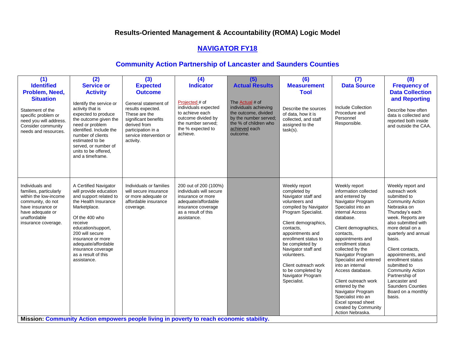#### **NAVIGATOR FY18**

#### **Community Action Partnership of Lancaster and Saunders Counties**

| (1)<br><b>Identified</b><br>Problem, Need,<br><b>Situation</b><br>Statement of the<br>specific problem or<br>need you will address.<br>Consider community<br>needs and resources. | (2)<br><b>Service or</b><br><b>Activity</b><br>Identify the service or<br>activity that is<br>expected to produce<br>the outcome given the<br>need or problem<br>identified. Include the<br>number of clients<br>estimated to be<br>served, or number of<br>units to be offered.<br>and a timeframe. | (3)<br><b>Expected</b><br><b>Outcome</b><br>General statement of<br>results expected.<br>These are the<br>significant benefits<br>derived from<br>participation in a<br>service intervention or<br>activity. | (4)<br><b>Indicator</b><br>Projected # of<br>individuals expected<br>to achieve each<br>outcome divided by<br>the number served;<br>the % expected to<br>achieve. | (5)<br><b>Actual Results</b><br>The <b>Actual</b> # of<br>individuals achieving<br>the outcome, divided<br>by the number served;<br>the % of children who<br>achieved each<br>outcome. | (6)<br><b>Measurement</b><br><b>Tool</b><br>Describe the sources<br>of data, how it is<br>collected, and staff<br>assigned to the<br>$task(s)$ .                                                                                                                                                                                                   | (7)<br><b>Data Source</b><br>Include Collection<br>Procedure and<br>Personnel<br>Responsible.                                                                                                                                                                                                                                                                                                                                                                                       | (8)<br><b>Frequency of</b><br><b>Data Collection</b><br>and Reporting<br>Describe how often<br>data is collected and<br>reported both inside<br>and outside the CAA.                                                                                                                                                                                                                                                      |
|-----------------------------------------------------------------------------------------------------------------------------------------------------------------------------------|------------------------------------------------------------------------------------------------------------------------------------------------------------------------------------------------------------------------------------------------------------------------------------------------------|--------------------------------------------------------------------------------------------------------------------------------------------------------------------------------------------------------------|-------------------------------------------------------------------------------------------------------------------------------------------------------------------|----------------------------------------------------------------------------------------------------------------------------------------------------------------------------------------|----------------------------------------------------------------------------------------------------------------------------------------------------------------------------------------------------------------------------------------------------------------------------------------------------------------------------------------------------|-------------------------------------------------------------------------------------------------------------------------------------------------------------------------------------------------------------------------------------------------------------------------------------------------------------------------------------------------------------------------------------------------------------------------------------------------------------------------------------|---------------------------------------------------------------------------------------------------------------------------------------------------------------------------------------------------------------------------------------------------------------------------------------------------------------------------------------------------------------------------------------------------------------------------|
| Individuals and<br>families, particularly<br>within the low-income<br>community, do not<br>have insurance or<br>have adequate or<br>unaffordable<br>insurance coverage.           | A Certified Navigator<br>will provide education<br>and support related to<br>the Health Insurance<br>Marketplace.<br>Of the 400 who<br>receive<br>education/support,<br>200 will secure<br>insurance or more<br>adequate/affordable<br>insurance coverage<br>as a result of this<br>assistance.      | Individuals or families<br>will secure insurance<br>or more adequate or<br>affordable insurance<br>coverage.                                                                                                 | 200 out of 200 (100%)<br>individuals will secure<br>insurance or more<br>adequate/affordable<br>insurance coverage<br>as a result of this<br>assistance.          |                                                                                                                                                                                        | Weekly report<br>completed by<br>Navigator staff and<br>volunteers and<br>compiled by Navigator<br>Program Specialist.<br>Client demographics,<br>contacts,<br>appointments and<br>enrollment status to<br>be completed by<br>Navigator staff and<br>volunteers.<br>Client outreach work<br>to be completed by<br>Navigator Program<br>Specialist. | Weekly report<br>information collected<br>and entered by<br>Navigator Program<br>Specialist into an<br>internal Access<br>database.<br>Client demographics,<br>contacts.<br>appointments and<br>enrollment status<br>collected by the<br>Navigator Program<br>Specialist and entered<br>into an internal<br>Access database.<br>Client outreach work<br>entered by the<br>Navigator Program<br>Specialist into an<br>Excel spread sheet<br>created by Community<br>Action Nebraska. | Weekly report and<br>outreach work<br>submitted to<br><b>Community Action</b><br>Nebraska on<br>Thursday's each<br>week. Reports are<br>also submitted with<br>more detail on a<br>quarterly and annual<br>basis.<br>Client contacts,<br>appointments, and<br>enrollment status<br>submitted to<br><b>Community Action</b><br>Partnership of<br>Lancaster and<br><b>Saunders Counties</b><br>Board on a monthly<br>basis. |

**Mission: Community Action empowers people living in poverty to reach economic stability.**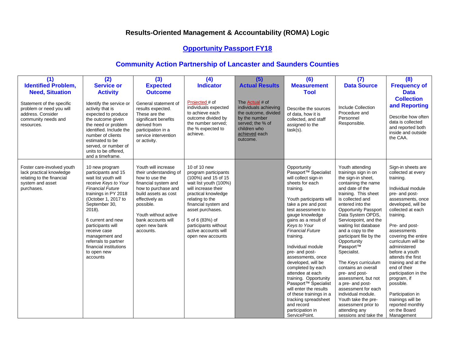## **Opportunity Passport FY18**

| (1)                                                                                                                   | (2)                                                                                                                                                                                                                                                                                                                                                 | (3)                                                                                                                                                                                                                                               | (4)                                                                                                                                                                                                                                                                                        | (5)                                                                                                                                                | (6)                                                                                                                                                                                                                                                                                                                                                                                                                                                                                                                                                                                                        | (7)                                                                                                                                                                                                                                                                                                                                                                                                                                                                                                                                                                                                                      | (8)                                                                                                                                                                                                                                                                                                                                                                                                                                                                                                  |
|-----------------------------------------------------------------------------------------------------------------------|-----------------------------------------------------------------------------------------------------------------------------------------------------------------------------------------------------------------------------------------------------------------------------------------------------------------------------------------------------|---------------------------------------------------------------------------------------------------------------------------------------------------------------------------------------------------------------------------------------------------|--------------------------------------------------------------------------------------------------------------------------------------------------------------------------------------------------------------------------------------------------------------------------------------------|----------------------------------------------------------------------------------------------------------------------------------------------------|------------------------------------------------------------------------------------------------------------------------------------------------------------------------------------------------------------------------------------------------------------------------------------------------------------------------------------------------------------------------------------------------------------------------------------------------------------------------------------------------------------------------------------------------------------------------------------------------------------|--------------------------------------------------------------------------------------------------------------------------------------------------------------------------------------------------------------------------------------------------------------------------------------------------------------------------------------------------------------------------------------------------------------------------------------------------------------------------------------------------------------------------------------------------------------------------------------------------------------------------|------------------------------------------------------------------------------------------------------------------------------------------------------------------------------------------------------------------------------------------------------------------------------------------------------------------------------------------------------------------------------------------------------------------------------------------------------------------------------------------------------|
| <b>Identified Problem,</b>                                                                                            | <b>Service or</b>                                                                                                                                                                                                                                                                                                                                   | <b>Expected</b>                                                                                                                                                                                                                                   | <b>Indicator</b>                                                                                                                                                                                                                                                                           | <b>Actual Results</b>                                                                                                                              | <b>Measurement</b>                                                                                                                                                                                                                                                                                                                                                                                                                                                                                                                                                                                         | <b>Data Source</b>                                                                                                                                                                                                                                                                                                                                                                                                                                                                                                                                                                                                       | <b>Frequency of</b>                                                                                                                                                                                                                                                                                                                                                                                                                                                                                  |
| <b>Need, Situation</b>                                                                                                | <b>Activity</b>                                                                                                                                                                                                                                                                                                                                     | <b>Outcome</b>                                                                                                                                                                                                                                    |                                                                                                                                                                                                                                                                                            |                                                                                                                                                    | <b>Tool</b>                                                                                                                                                                                                                                                                                                                                                                                                                                                                                                                                                                                                |                                                                                                                                                                                                                                                                                                                                                                                                                                                                                                                                                                                                                          | <b>Data</b>                                                                                                                                                                                                                                                                                                                                                                                                                                                                                          |
| Statement of the specific<br>problem or need you will<br>address. Consider<br>community needs and<br>resources.       | Identify the service or<br>activity that is<br>expected to produce<br>the outcome given<br>the need or problem<br>identified. Include the<br>number of clients<br>estimated to be<br>served, or number of<br>units to be offered.<br>and a timeframe.                                                                                               | General statement of<br>results expected.<br>These are the<br>significant benefits<br>derived from<br>participation in a<br>service intervention<br>or activity.                                                                                  | Projected # of<br>individuals expected<br>to achieve each<br>outcome divided by<br>the number served:<br>the % expected to<br>achieve.                                                                                                                                                     | The Actual # of<br>individuals achieving<br>the outcome, divided<br>by the number<br>served: the % of<br>children who<br>achieved each<br>outcome. | Describe the sources<br>of data, how it is<br>collected, and staff<br>assigned to the<br>$task(s)$ .                                                                                                                                                                                                                                                                                                                                                                                                                                                                                                       | Include Collection<br>Procedure and<br>Personnel<br>Responsible.                                                                                                                                                                                                                                                                                                                                                                                                                                                                                                                                                         | <b>Collection</b><br>and Reporting<br>Describe how often<br>data is collected<br>and reported both<br>inside and outside<br>the CAA.                                                                                                                                                                                                                                                                                                                                                                 |
| Foster care-involved youth<br>lack practical knowledge<br>relating to the financial<br>system and asset<br>purchases. | 10 new program<br>participants and 15<br>wait list youth will<br>receive Keys to Your<br><b>Financial Future</b><br>trainings in PY 2018<br>(October 1, 2017 to<br>September 30,<br>2018).<br>6 current and new<br>participants will<br>receive case<br>management and<br>referrals to partner<br>financial institutions<br>to open new<br>accounts | Youth will increase<br>their understanding of<br>how to use the<br>financial system and<br>how to purchase and<br>build assets as cost<br>effectively as<br>possible.<br>Youth without active<br>bank accounts will<br>open new bank<br>accounts. | 10 of 10 new<br>program participants<br>(100%) and 15 of 15<br>wait list youth (100%)<br>will increase their<br>practical knowledge<br>relating to the<br>financial system and<br>asset purchases.<br>5 of 6 (83%) of<br>participants without<br>active accounts will<br>open new accounts |                                                                                                                                                    | Opportunity<br>Passport <sup>™</sup> Specialist<br>will collect sign-in<br>sheets for each<br>training.<br>Youth participants will<br>take a pre and post<br>test assessment to<br>gauge knowledge<br>gains as a result of<br>Keys to Your<br><b>Financial Future</b><br>training.<br>Individual module<br>pre- and post-<br>assessments, once<br>developed, will be<br>completed by each<br>attendee at each<br>training. Opportunity<br>Passport <sup>™</sup> Specialist<br>will enter the results<br>of these trainings in a<br>tracking spreadsheet<br>and record<br>participation in<br>ServicePoint. | Youth attending<br>trainings sign in on<br>the sign-in sheet.<br>containing the name<br>and date of the<br>training. This sheet<br>is collected and<br>entered into the<br><b>Opportunity Passport</b><br>Data System OPDS,<br>Servicepoint, and the<br>waiting list database<br>and a copy to the<br>participant file by the<br>Opportunity<br>Passport™<br>Specialist.<br>The Keys curriculum<br>contains an overall<br>pre- and post-<br>assessment, but not<br>a pre- and post-<br>assessment for each<br>individual module.<br>Youth take the pre-<br>assessment prior to<br>attending any<br>sessions and take the | Sign-in sheets are<br>collected at every<br>training.<br>Individual module<br>pre- and post-<br>assessments, once<br>developed, will be<br>collected at each<br>training.<br>Pre- and post-<br>assessments<br>covering the entire<br>curriculum will be<br>administered<br>before a youth<br>attends the first<br>training and at the<br>end of their<br>participation in the<br>program, if<br>possible.<br>Participation in<br>trainings will be<br>reported monthly<br>on the Board<br>Management |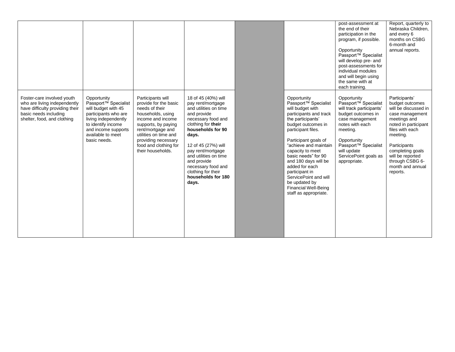|                                                                                                                                                       |                                                                                                                                                                                                          |                                                                                                                                                                                                                                                  |                                                                                                                                                                                                                                                                                                                           |                                                                                                                                                                                                                                                                                                                                                                                                                          | post-assessment at<br>the end of their<br>participation in the<br>program, if possible.<br>Opportunity<br>Passport <sup>™</sup> Specialist<br>will develop pre- and<br>post-assessments for<br>individual modules<br>and will begin using<br>the same with at<br>each training. | Report, quarterly to<br>Nebraska Children,<br>and every 6<br>months on CSBG<br>6-month and<br>annual reports.                                                                                                                                                 |
|-------------------------------------------------------------------------------------------------------------------------------------------------------|----------------------------------------------------------------------------------------------------------------------------------------------------------------------------------------------------------|--------------------------------------------------------------------------------------------------------------------------------------------------------------------------------------------------------------------------------------------------|---------------------------------------------------------------------------------------------------------------------------------------------------------------------------------------------------------------------------------------------------------------------------------------------------------------------------|--------------------------------------------------------------------------------------------------------------------------------------------------------------------------------------------------------------------------------------------------------------------------------------------------------------------------------------------------------------------------------------------------------------------------|---------------------------------------------------------------------------------------------------------------------------------------------------------------------------------------------------------------------------------------------------------------------------------|---------------------------------------------------------------------------------------------------------------------------------------------------------------------------------------------------------------------------------------------------------------|
| Foster-care involved youth<br>who are living independently<br>have difficulty providing their<br>basic needs including<br>shelter, food, and clothing | Opportunity<br>Passport <sup>™</sup> Specialist<br>will budget with 45<br>participants who are<br>living independently<br>to identify income<br>and income supports<br>available to meet<br>basic needs. | Participants will<br>provide for the basic<br>needs of their<br>households, using<br>income and income<br>supports, by paying<br>rent/mortgage and<br>utilities on time and<br>providing necessary<br>food and clothing for<br>their households. | 18 of 45 (40%) will<br>pay rent/mortgage<br>and utilities on time<br>and provide<br>necessary food and<br>clothing for their<br>households for 90<br>days.<br>12 of 45 (27%) will<br>pay rent/mortgage<br>and utilities on time<br>and provide<br>necessary food and<br>clothing for their<br>households for 180<br>days. | Opportunity<br>Passport <sup>™</sup> Specialist<br>will budget with<br>participants and track<br>the participants'<br>budget outcomes in<br>participant files.<br>Participant goals of<br>"achieve and maintain<br>capacity to meet<br>basic needs" for 90<br>and 180 days will be<br>added for each<br>participant in<br>ServicePoint and will<br>be updated by<br><b>Financial Well-Being</b><br>staff as appropriate. | Opportunity<br>Passport <sup>™</sup> Specialist<br>will track participants'<br>budget outcomes in<br>case management<br>notes with each<br>meeting.<br>Opportunity<br>Passport <sup>™</sup> Specialist<br>will update<br>ServicePoint goals as<br>appropriate.                  | Participants'<br>budget outcomes<br>will be discussed in<br>case management<br>meetings and<br>noted in participant<br>files with each<br>meeting.<br>Participants<br>completing goals<br>will be reported<br>through CSBG 6-<br>month and annual<br>reports. |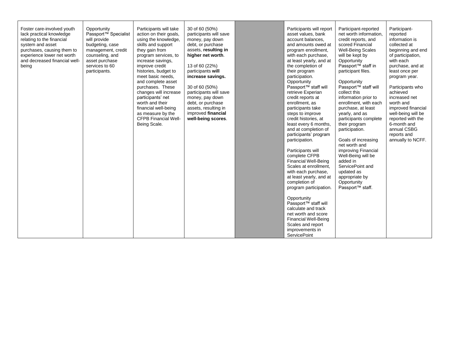| Foster care-involved youth<br>lack practical knowledge<br>relating to the financial<br>system and asset<br>purchases, causing them to<br>experience lower net worth<br>and decreased financial well-<br>being | Opportunity<br>Passport <sup>™</sup> Specialist<br>will provide<br>budgeting, case<br>management, credit<br>counseling, and<br>asset purchase<br>services to 60<br>participants. | Participants will take<br>action on their goals,<br>using the knowledge,<br>skills and support<br>they gain from<br>program services, to<br>increase savings.<br>improve credit<br>histories, budget to<br>meet basic needs,<br>and complete asset<br>purchases. These<br>changes will increase<br>participants' net<br>worth and their<br>financial well-being<br>as measure by the<br><b>CFPB Financial Well-</b><br>Being Scale. | 30 of 60 (50%)<br>participants will save<br>money, pay down<br>debt, or purchase<br>assets, resulting in<br>higher net worth.<br>13 of 60 (22%)<br>participants will<br>increase savings.<br>30 of 60 (50%)<br>participants will save<br>money, pay down<br>debt, or purchase<br>assets, resulting in<br>improved financial<br>well-being scores. | Participants will report<br>asset values, bank<br>account balances.<br>and amounts owed at<br>program enrollment,<br>with each purchase,<br>at least yearly, and at<br>the completion of<br>their program<br>participation.<br>Opportunity<br>Passport™ staff will<br>retrieve Experian<br>credit reports at<br>enrollment, as<br>participants take<br>steps to improve<br>credit histories, at<br>least every 6 months,<br>and at completion of<br>participants' program<br>participation.<br>Participants will<br>complete CFPB<br><b>Financial Well-Being</b><br>Scales at enrollment,<br>with each purchase,<br>at least yearly, and at<br>completion of<br>program participation.<br>Opportunity<br>Passport <sup>™</sup> staff will<br>calculate and track | Participant-reported<br>net worth information,<br>credit reports, and<br>scored Financial<br><b>Well-Being Scales</b><br>will be kept by<br>Opportunity<br>Passport <sup>™</sup> staff in<br>participant files.<br>Opportunity<br>Passport <sup>™</sup> staff will<br>collect this<br>information prior to<br>enrollment, with each<br>purchase, at least<br>yearly, and as<br>participants complete<br>their program<br>participation.<br>Goals of increasing<br>net worth and<br>improving Financial<br>Well-Being will be<br>added in<br>ServicePoint and<br>updated as<br>appropriate by<br>Opportunity<br>Passport <sup>™</sup> staff. | Participant-<br>reported<br>information is<br>collected at<br>beginning and end<br>of participation,<br>with each<br>purchase, and at<br>least once per<br>program year.<br>Participants who<br>achieved<br>increased net<br>worth and<br>improved financial<br>well-being will be<br>reported with the<br>6-month and<br>annual CSBG<br>reports and<br>annually to NCFF. |
|---------------------------------------------------------------------------------------------------------------------------------------------------------------------------------------------------------------|----------------------------------------------------------------------------------------------------------------------------------------------------------------------------------|-------------------------------------------------------------------------------------------------------------------------------------------------------------------------------------------------------------------------------------------------------------------------------------------------------------------------------------------------------------------------------------------------------------------------------------|---------------------------------------------------------------------------------------------------------------------------------------------------------------------------------------------------------------------------------------------------------------------------------------------------------------------------------------------------|------------------------------------------------------------------------------------------------------------------------------------------------------------------------------------------------------------------------------------------------------------------------------------------------------------------------------------------------------------------------------------------------------------------------------------------------------------------------------------------------------------------------------------------------------------------------------------------------------------------------------------------------------------------------------------------------------------------------------------------------------------------|---------------------------------------------------------------------------------------------------------------------------------------------------------------------------------------------------------------------------------------------------------------------------------------------------------------------------------------------------------------------------------------------------------------------------------------------------------------------------------------------------------------------------------------------------------------------------------------------------------------------------------------------|---------------------------------------------------------------------------------------------------------------------------------------------------------------------------------------------------------------------------------------------------------------------------------------------------------------------------------------------------------------------------|
|                                                                                                                                                                                                               |                                                                                                                                                                                  |                                                                                                                                                                                                                                                                                                                                                                                                                                     |                                                                                                                                                                                                                                                                                                                                                   | net worth and score<br><b>Financial Well-Being</b><br>Scales and report<br>improvements in<br><b>ServicePoint</b>                                                                                                                                                                                                                                                                                                                                                                                                                                                                                                                                                                                                                                                |                                                                                                                                                                                                                                                                                                                                                                                                                                                                                                                                                                                                                                             |                                                                                                                                                                                                                                                                                                                                                                           |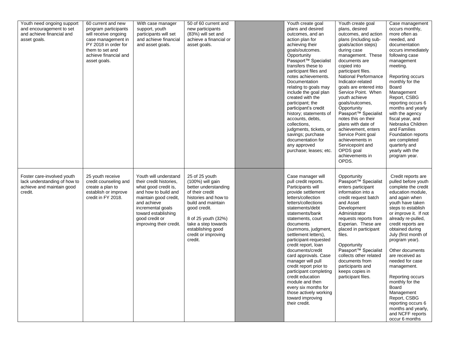| Youth need ongoing support<br>and encouragement to set<br>and achieve financial and<br>asset goals. | 60 current and new<br>program participants<br>will receive ongoing<br>case management in<br>PY 2018 in order for<br>them to set and<br>achieve financial and<br>asset goals. | With case manager<br>support, youth<br>participants will set<br>and achieve financial<br>and asset goals.                                                                                                                         | 50 of 60 current and<br>new participants<br>(83%) will set and<br>achieve a financial or<br>asset goals.                                                                                                                                         | Youth create goal<br>plans and desired<br>outcomes, and an<br>action plan for<br>achieving their<br>goals/outcomes.<br>Opportunity<br>Passport <sup>™</sup> Specialist<br>transfers these to<br>participant files and<br>notes achievements.<br>Documentation<br>relating to goals may<br>include the goal plan<br>created with the<br>participant; the<br>participant's credit<br>history; statements of<br>accounts, debts,<br>collections,<br>judgments, tickets, or<br>savings; purchase<br>documentation for<br>any approved<br>purchase; leases; etc. | Youth create goal<br>plans, desired<br>outcomes, and action<br>plans (including sub-<br>goals/action steps)<br>during case<br>management. These<br>documents are<br>copied into<br>participant files.<br>National Performance<br>Indicator-related<br>goals are entered into<br>Service Point. When<br>youth achieve<br>goals/outcomes,<br>Opportunity<br>Passport <sup>™</sup> Specialist<br>notes this on their<br>plans with date of<br>achievement, enters<br>Service Point goal<br>achievements in<br>Servicepoint and<br>OPDS goal<br>achievements in<br>OPDS. | Case management<br>occurs monthly,<br>more often as<br>needed, and<br>documentation<br>occurs immediately<br>following case<br>management<br>meeting.<br>Reporting occurs<br>monthly for the<br>Board<br>Management<br>Report, CSBG<br>reporting occurs 6<br>months and yearly<br>with the agency<br>fiscal year, and<br>Nebraska Children<br>and Families<br>Foundation reports<br>are completed<br>quarterly and<br>yearly with the<br>program year.                                                                      |
|-----------------------------------------------------------------------------------------------------|------------------------------------------------------------------------------------------------------------------------------------------------------------------------------|-----------------------------------------------------------------------------------------------------------------------------------------------------------------------------------------------------------------------------------|--------------------------------------------------------------------------------------------------------------------------------------------------------------------------------------------------------------------------------------------------|-------------------------------------------------------------------------------------------------------------------------------------------------------------------------------------------------------------------------------------------------------------------------------------------------------------------------------------------------------------------------------------------------------------------------------------------------------------------------------------------------------------------------------------------------------------|----------------------------------------------------------------------------------------------------------------------------------------------------------------------------------------------------------------------------------------------------------------------------------------------------------------------------------------------------------------------------------------------------------------------------------------------------------------------------------------------------------------------------------------------------------------------|-----------------------------------------------------------------------------------------------------------------------------------------------------------------------------------------------------------------------------------------------------------------------------------------------------------------------------------------------------------------------------------------------------------------------------------------------------------------------------------------------------------------------------|
| Foster care-involved youth<br>lack understanding of how to<br>achieve and maintain good<br>credit.  | 25 youth receive<br>credit counseling and<br>create a plan to<br>establish or improve<br>credit in FY 2018.                                                                  | Youth will understand<br>their credit histories,<br>what good credit is,<br>and how to build and<br>maintain good credit,<br>and achieve<br>incremental goals<br>toward establishing<br>good credit or<br>improving their credit. | 25 of 25 youth<br>(100%) will gain<br>better understanding<br>of their credit<br>histories and how to<br>build and maintain<br>good credit.<br>8 of 25 youth (32%)<br>take a step towards<br>establishing good<br>credit or improving<br>credit. | Case manager will<br>pull credit reports.<br>Participants will<br>provide settlement<br>letters/collection<br>letters/collections<br>statements/debt<br>statements/bank<br>statements, court<br>documents<br>(summons, judgment,<br>settlement letters),<br>participant-requested<br>credit report, loan<br>documents/credit<br>card approvals. Case<br>manager will pull<br>credit report prior to<br>participant completing<br>credit education<br>module and then<br>every six months for<br>those actively working<br>toward improving<br>their credit. | Opportunity<br>Passport <sup>™</sup> Specialist<br>enters participant<br>information into a<br>credit request batch<br>and Asset<br>Development<br>Administrator<br>requests reports from<br>Experian. These are<br>placed in participant<br>files.<br>Opportunity<br>Passport <sup>™</sup> Specialist<br>collects other related<br>documents from<br>participants and<br>keeps copies in<br>participant files.                                                                                                                                                      | Credit reports are<br>pulled before youth<br>complete the credit<br>education module,<br>and again when<br>youth have taken<br>steps to establish<br>or improve it. If not<br>already re-pulled,<br>credit reports are<br>obtained during<br>July (first month of<br>program year).<br>Other documents<br>are received as<br>needed for case<br>management.<br>Reporting occurs<br>monthly for the<br>Board<br>Management<br>Report, CSBG<br>reporting occurs 6<br>months and yearly,<br>and NCFF reports<br>occur 6 months |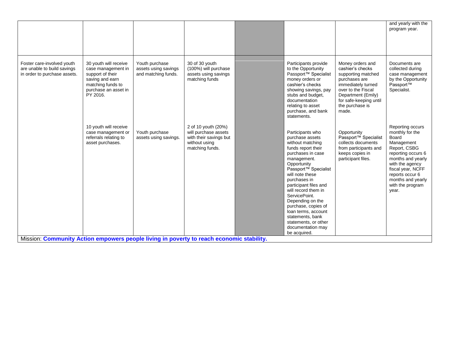|                                                                                           |                                                                                                                                             |                                                               |                                                                                                           |                                                                                                                                                                                                                                                                                                                                                                                                                             |                                                                                                                                                                                                     | and yearly with the<br>program year.                                                                                                                                                                                                      |
|-------------------------------------------------------------------------------------------|---------------------------------------------------------------------------------------------------------------------------------------------|---------------------------------------------------------------|-----------------------------------------------------------------------------------------------------------|-----------------------------------------------------------------------------------------------------------------------------------------------------------------------------------------------------------------------------------------------------------------------------------------------------------------------------------------------------------------------------------------------------------------------------|-----------------------------------------------------------------------------------------------------------------------------------------------------------------------------------------------------|-------------------------------------------------------------------------------------------------------------------------------------------------------------------------------------------------------------------------------------------|
| Foster care-involved youth<br>are unable to build savings<br>in order to purchase assets. | 30 youth will receive<br>case management in<br>support of their<br>saving and earn<br>matching funds to<br>purchase an asset in<br>PY 2016. | Youth purchase<br>assets using savings<br>and matching funds. | 30 of 30 youth<br>(100%) will purchase<br>assets using savings<br>matching funds                          | Participants provide<br>to the Opportunity<br>Passport <sup>™</sup> Specialist<br>money orders or<br>cashier's checks<br>showing savings, pay<br>stubs and budget,<br>documentation<br>relating to asset<br>purchase, and bank<br>statements.                                                                                                                                                                               | Money orders and<br>cashier's checks<br>supporting matched<br>purchases are<br>immediately turned<br>over to the Fiscal<br>Department (Emily)<br>for safe-keeping until<br>the purchase is<br>made. | Documents are<br>collected during<br>case management<br>by the Opportunity<br>Passport™<br>Specialist.                                                                                                                                    |
| Mission: Community Action empowers people living in poverty to reach economic stability.  | 10 youth will receive<br>case management or<br>referrals relating to<br>asset purchases.                                                    | Youth purchase<br>assets using savings.                       | 2 of 10 youth (20%)<br>will purchase assets<br>with their savings but<br>without using<br>matching funds. | Participants who<br>purchase assets<br>without matching<br>funds report their<br>purchases in case<br>management.<br>Opportunity<br>Passport <sup>™</sup> Specialist<br>will note these<br>purchases in<br>participant files and<br>will record them in<br>ServicePoint.<br>Depending on the<br>purchase, copies of<br>loan terms, account<br>statements, bank<br>statements, or other<br>documentation may<br>be acquired. | Opportunity<br>Passport <sup>™</sup> Specialist<br>collects documents<br>from participants and<br>keeps copies in<br>participant files.                                                             | Reporting occurs<br>monthly for the<br><b>Board</b><br>Management<br>Report, CSBG<br>reporting occurs 6<br>months and yearly<br>with the agency<br>fiscal year, NCFF<br>reports occur 6<br>months and yearly<br>with the program<br>year. |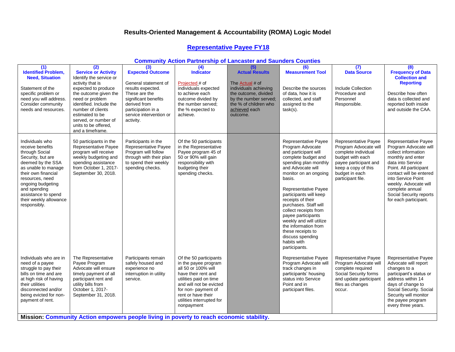#### **Representative Payee FY18**

#### **Community Action Partnership of Lancaster and Saunders Counties**

| (1)<br><b>Identified Problem,</b><br><b>Need, Situation</b><br>Statement of the<br>specific problem or<br>need you will address.<br>Consider community<br>needs and resources.                                                                                         | (2)<br><b>Service or Activity</b><br>Identify the service or<br>activity that is<br>expected to produce<br>the outcome given the<br>need or problem<br>identified. Include the<br>number of clients<br>estimated to be<br>served, or number of<br>units to be offered,<br>and a timeframe. | (3)<br><b>Expected Outcome</b><br>General statement of<br>results expected.<br>These are the<br>significant benefits<br>derived from<br>participation in a<br>service intervention or<br>activity. | $\overline{(4)}$<br><b>Indicator</b><br>Projected # of<br>individuals expected<br>to achieve each<br>outcome divided by<br>the number served:<br>the % expected to<br>achieve.                                                            | $\overline{(5)}$<br><b>Actual Results</b><br>The Actual # of<br>individuals achieving<br>the outcome, divided<br>by the number served:<br>the % of children who<br>achieved each<br>outcome. | (6)<br><b>Measurement Tool</b><br>Describe the sources<br>of data, how it is<br>collected, and staff<br>assigned to the<br>task(s).                                                                                                                                                                                                                                                                                                                 | (7)<br><b>Data Source</b><br>Include Collection<br>Procedure and<br>Personnel<br>Responsible.                                                                                   | (8)<br><b>Frequency of Data</b><br><b>Collection and</b><br><b>Reporting</b><br>Describe how often<br>data is collected and<br>reported both inside<br>and outside the CAA.                                                                                                               |
|------------------------------------------------------------------------------------------------------------------------------------------------------------------------------------------------------------------------------------------------------------------------|--------------------------------------------------------------------------------------------------------------------------------------------------------------------------------------------------------------------------------------------------------------------------------------------|----------------------------------------------------------------------------------------------------------------------------------------------------------------------------------------------------|-------------------------------------------------------------------------------------------------------------------------------------------------------------------------------------------------------------------------------------------|----------------------------------------------------------------------------------------------------------------------------------------------------------------------------------------------|-----------------------------------------------------------------------------------------------------------------------------------------------------------------------------------------------------------------------------------------------------------------------------------------------------------------------------------------------------------------------------------------------------------------------------------------------------|---------------------------------------------------------------------------------------------------------------------------------------------------------------------------------|-------------------------------------------------------------------------------------------------------------------------------------------------------------------------------------------------------------------------------------------------------------------------------------------|
| Individuals who<br>receive benefits<br>through Social<br>Security, but are<br>deemed by the SSA<br>as unable to manage<br>their own financial<br>resources, need<br>ongoing budgeting<br>and spending<br>assistance to spend<br>their weekly allowance<br>responsibly. | 50 participants in the<br>Representative Payee<br>program will receive<br>weekly budgeting and<br>spending assistance<br>from October 1, 2017-<br>September 30, 2018.                                                                                                                      | Participants in the<br>Representative Payee<br>Program will follow<br>through with their plan<br>to spend their weekly<br>spending checks.                                                         | Of the 50 participants<br>in the Representative<br>Payee program 45 of<br>50 or 90% will gain<br>responsibility with<br>budgeting their<br>spending checks.                                                                               |                                                                                                                                                                                              | Representative Payee<br>Program Advocate<br>and participant will<br>complete budget and<br>spending plan monthly<br>and Advocate will<br>monitor on an ongoing<br>basis.<br>Representative Payee<br>participants will keep<br>receipts of their<br>purchases. Staff will<br>collect receipts from<br>payee participants<br>weekly and will utilize<br>the information from<br>these receipts to<br>discuss spending<br>habits with<br>participants. | Representative Payee<br>Program Advocate will<br>complete individual<br>budget with each<br>payee participant and<br>keep a copy of this<br>budget in each<br>participant file. | Representative Payee<br>Program Advocate will<br>collect information<br>monthly and enter<br>data into Service<br>Point. All participant<br>contact will be entered<br>into Service Point<br>weekly. Advocate will<br>complete annual<br>Social Security reports<br>for each participant. |
| Individuals who are in<br>need of a payee<br>struggle to pay their<br>bills on time and are<br>at high risk of having<br>their utilities<br>disconnected and/or<br>being evicted for non-<br>payment of rent.<br>$M = -1 - 1 - 2 - 2$                                  | The Representative<br>Payee Program<br>Advocate will ensure<br>timely payment of all<br>participant rent and<br>utility bills from<br>October 1, 2017-<br>September 31, 2018.<br>والأعامر الأرادي وعالمون                                                                                  | Participants remain<br>safely housed and<br>experience no<br>interruption in utility<br>service.<br>منافذ والأراد والمراق                                                                          | Of the 50 participants<br>in the payee program<br>all 50 or 100% will<br>have their rent and<br>utilities paid on time<br>and will not be evicted<br>for non- payment of<br>rent or have their<br>utilities interrupted for<br>nonpayment | 12,5154                                                                                                                                                                                      | Representative Payee<br>Program Advocate will<br>track changes in<br>participants' housing<br>status into Service<br>Point and in<br>participant files.                                                                                                                                                                                                                                                                                             | Representative Payee<br>Program Advocate will<br>complete required<br>Social Security forms<br>and update participant<br>files as changes<br>occur.                             | Representative Payee<br>Advocate will report<br>changes to a<br>participant's status or<br>address within 14<br>days of change to<br>Social Security. Social<br>Security will monitor<br>the payee program<br>every three years.                                                          |

**Mission: Community Action empowers people living in poverty to reach economic stability.**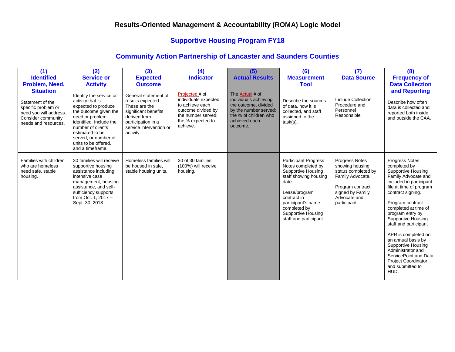## **Supportive Housing Program FY18**

| (1)<br><b>Identified</b><br>Problem, Need,<br><b>Situation</b><br>Statement of the<br>specific problem or<br>need you will address.<br>Consider community<br>needs and resources. | (2)<br><b>Service or</b><br><b>Activity</b><br>Identify the service or<br>activity that is<br>expected to produce<br>the outcome given the<br>need or problem<br>identified. Include the<br>number of clients<br>estimated to be<br>served, or number of<br>units to be offered.<br>and a timeframe. | (3)<br><b>Expected</b><br><b>Outcome</b><br>General statement of<br>results expected.<br>These are the<br>significant benefits<br>derived from<br>participation in a<br>service intervention or<br>activity. | (4)<br><b>Indicator</b><br>Projected # of<br>individuals expected<br>to achieve each<br>outcome divided by<br>the number served;<br>the % expected to<br>achieve. | (5)<br><b>Actual Results</b><br>The Actual # of<br>individuals achieving<br>the outcome, divided<br>by the number served;<br>the % of children who<br>achieved each<br>outcome. | (6)<br><b>Measurement</b><br>Tool<br>Describe the sources<br>of data, how it is<br>collected, and staff<br>assigned to the<br>$task(s)$ .                                                                                             | (7)<br><b>Data Source</b><br>Include Collection<br>Procedure and<br>Personnel<br>Responsible.                                                               | (8)<br><b>Frequency of</b><br><b>Data Collection</b><br>and Reporting<br>Describe how often<br>data is collected and<br>reported both inside<br>and outside the CAA.                                                                                                                                                                                                                                                                                                  |
|-----------------------------------------------------------------------------------------------------------------------------------------------------------------------------------|------------------------------------------------------------------------------------------------------------------------------------------------------------------------------------------------------------------------------------------------------------------------------------------------------|--------------------------------------------------------------------------------------------------------------------------------------------------------------------------------------------------------------|-------------------------------------------------------------------------------------------------------------------------------------------------------------------|---------------------------------------------------------------------------------------------------------------------------------------------------------------------------------|---------------------------------------------------------------------------------------------------------------------------------------------------------------------------------------------------------------------------------------|-------------------------------------------------------------------------------------------------------------------------------------------------------------|-----------------------------------------------------------------------------------------------------------------------------------------------------------------------------------------------------------------------------------------------------------------------------------------------------------------------------------------------------------------------------------------------------------------------------------------------------------------------|
| Families with children<br>who are homeless<br>need safe, stable<br>housing.                                                                                                       | 30 families will receive<br>supportive housing<br>assistance including<br>intensive case<br>management, housing<br>assistance, and self-<br>sufficiency supports<br>from Oct. 1. 2017 -<br>Sept. 30, 2018                                                                                            | Homeless families will<br>be housed in safe.<br>stable housing units.                                                                                                                                        | 30 of 30 families<br>(100%) will receive<br>housing.                                                                                                              |                                                                                                                                                                                 | <b>Participant Progress</b><br>Notes completed by<br><b>Supportive Housing</b><br>staff showing housing<br>date.<br>Lease/program<br>contract in<br>participant's name<br>completed by<br>Supportive Housing<br>staff and participant | <b>Progress Notes</b><br>showing housing<br>status completed by<br>Family Advocate.<br>Program contract<br>signed by Family<br>Advocate and<br>participant. | <b>Progress Notes</b><br>completed by<br><b>Supportive Housing</b><br>Family Advocate and<br>included in participant<br>file at time of program<br>contract signing.<br>Program contract<br>completed at time of<br>program entry by<br>Supportive Housing<br>staff and participant<br>APR is completed on<br>an annual basis by<br><b>Supportive Housing</b><br>Administrator and<br>ServicePoint and Data<br><b>Project Coordinator</b><br>and submitted to<br>HUD. |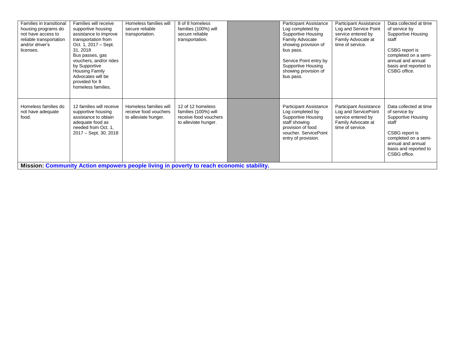| Families in transitional<br>housing programs do<br>not have access to<br>reliable transportation<br>and/or driver's<br>licenses. | Families will receive<br>supportive housing<br>assistance to improve<br>transportation from<br>Oct. 1, 2017 – Sept.<br>31, 2018<br>Bus passes, gas<br>vouchers, and/or rides<br>by Supportive<br>Housing Family<br>Advocates will be<br>provided for 8<br>homeless families. | Homeless families will<br>secure reliable<br>transportation.                                                                                                        | 8 of 8 homeless<br>families (100%) will<br>secure reliable<br>transportation.              | <b>Participant Assistance</b><br>Log completed by<br>Supportive Housing<br>Family Advocate<br>showing provision of<br>bus pass.<br>Service Point entry by<br>Supportive Housing<br>showing provision of<br>bus pass. | <b>Participant Assistance</b><br>Log and Service Point<br>service entered by<br>Family Advocate at<br>time of service. | Data collected at time<br>of service by<br>Supportive Housing<br>staff<br>CSBG report is<br>completed on a semi-<br>annual and annual<br>basis and reported to<br>CSBG office. |
|----------------------------------------------------------------------------------------------------------------------------------|------------------------------------------------------------------------------------------------------------------------------------------------------------------------------------------------------------------------------------------------------------------------------|---------------------------------------------------------------------------------------------------------------------------------------------------------------------|--------------------------------------------------------------------------------------------|----------------------------------------------------------------------------------------------------------------------------------------------------------------------------------------------------------------------|------------------------------------------------------------------------------------------------------------------------|--------------------------------------------------------------------------------------------------------------------------------------------------------------------------------|
| Homeless families do<br>not have adequate<br>food.                                                                               | 12 families will receive<br>supportive housing<br>assistance to obtain<br>adequate food as<br>needed from Oct. 1,<br>2017 - Sept. 30, 2018                                                                                                                                   | Homeless families will<br>receive food vouchers<br>to alleviate hunger.<br>Mission: Community Action empowers people living in poverty to reach economic stability. | 12 of 12 homeless<br>families (100%) will<br>receive food vouchers<br>to alleviate hunger. | <b>Participant Assistance</b><br>Log completed by<br>Supportive Housing<br>staff showing<br>provision of food<br>voucher. ServicePoint<br>entry of provision.                                                        | <b>Participant Assistance</b><br>Log and ServicePoint<br>service entered by<br>Family Advocate at<br>time of service.  | Data collected at time<br>of service by<br>Supportive Housing<br>staff<br>CSBG report is<br>completed on a semi-<br>annual and annual<br>basis and reported to<br>CSBG office. |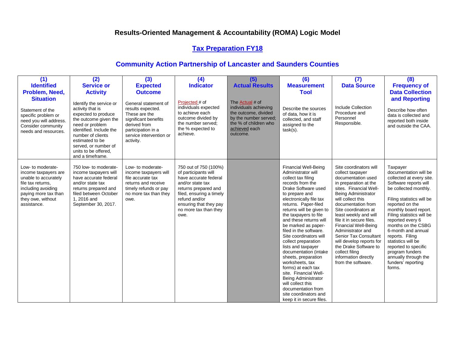## **Tax Preparation FY18**

| (1)                                                                                                                                                                      | (2)                                                                                                                                                                                                                                                   | (3)                                                                                                                                                              | (4)                                                                                                                                                                                                                        | (5)                                                                                                                                             | (6)                                                                                                                                                                                                                                                                                                                                                                                                                                                                                                                                                                                                                                     | (7)                                                                                                                                                                                                                                                                                                                                                                                                                                                                         | (8)                                                                                                                                                                                                                                                                                                                                                                                                                               |
|--------------------------------------------------------------------------------------------------------------------------------------------------------------------------|-------------------------------------------------------------------------------------------------------------------------------------------------------------------------------------------------------------------------------------------------------|------------------------------------------------------------------------------------------------------------------------------------------------------------------|----------------------------------------------------------------------------------------------------------------------------------------------------------------------------------------------------------------------------|-------------------------------------------------------------------------------------------------------------------------------------------------|-----------------------------------------------------------------------------------------------------------------------------------------------------------------------------------------------------------------------------------------------------------------------------------------------------------------------------------------------------------------------------------------------------------------------------------------------------------------------------------------------------------------------------------------------------------------------------------------------------------------------------------------|-----------------------------------------------------------------------------------------------------------------------------------------------------------------------------------------------------------------------------------------------------------------------------------------------------------------------------------------------------------------------------------------------------------------------------------------------------------------------------|-----------------------------------------------------------------------------------------------------------------------------------------------------------------------------------------------------------------------------------------------------------------------------------------------------------------------------------------------------------------------------------------------------------------------------------|
| <b>Identified</b>                                                                                                                                                        | <b>Service or</b>                                                                                                                                                                                                                                     | <b>Expected</b>                                                                                                                                                  | <b>Indicator</b>                                                                                                                                                                                                           | <b>Actual Results</b>                                                                                                                           | <b>Measurement</b>                                                                                                                                                                                                                                                                                                                                                                                                                                                                                                                                                                                                                      | <b>Data Source</b>                                                                                                                                                                                                                                                                                                                                                                                                                                                          | <b>Frequency of</b>                                                                                                                                                                                                                                                                                                                                                                                                               |
| Problem, Need,                                                                                                                                                           | <b>Activity</b>                                                                                                                                                                                                                                       | <b>Outcome</b>                                                                                                                                                   |                                                                                                                                                                                                                            |                                                                                                                                                 | Tool                                                                                                                                                                                                                                                                                                                                                                                                                                                                                                                                                                                                                                    |                                                                                                                                                                                                                                                                                                                                                                                                                                                                             | <b>Data Collection</b>                                                                                                                                                                                                                                                                                                                                                                                                            |
| <b>Situation</b><br>Statement of the<br>specific problem or<br>need you will address.<br>Consider community<br>needs and resources.                                      | Identify the service or<br>activity that is<br>expected to produce<br>the outcome given the<br>need or problem<br>identified. Include the<br>number of clients<br>estimated to be<br>served, or number of<br>units to be offered.<br>and a timeframe. | General statement of<br>results expected.<br>These are the<br>significant benefits<br>derived from<br>participation in a<br>service intervention or<br>activity. | Projected # of<br>individuals expected<br>to achieve each<br>outcome divided by<br>the number served;<br>the % expected to<br>achieve.                                                                                     | The Actual # of<br>individuals achieving<br>the outcome, divided<br>by the number served;<br>the % of children who<br>achieved each<br>outcome. | Describe the sources<br>of data, how it is<br>collected, and staff<br>assigned to the<br>$task(s)$ .                                                                                                                                                                                                                                                                                                                                                                                                                                                                                                                                    | Include Collection<br>Procedure and<br>Personnel<br>Responsible.                                                                                                                                                                                                                                                                                                                                                                                                            | and Reporting<br>Describe how often<br>data is collected and<br>reported both inside<br>and outside the CAA.                                                                                                                                                                                                                                                                                                                      |
| Low- to moderate-<br>income taxpayers are<br>unable to accurately<br>file tax returns.<br>including avoiding<br>paying more tax than<br>they owe, without<br>assistance. | 750 low- to moderate-<br>income taxpayers will<br>have accurate federal<br>and/or state tax<br>returns prepared and<br>filed between October<br>1, 2016 and<br>September 30, 2017.                                                                    | Low- to moderate-<br>income taxpayers will<br>file accurate tax<br>returns and receive<br>timely refunds or pay<br>no more tax than they<br>owe.                 | 750 out of 750 (100%)<br>of participants will<br>have accurate federal<br>and/or state tax<br>returns prepared and<br>filed, ensuring a timely<br>refund and/or<br>ensuring that they pay<br>no more tax than they<br>owe. |                                                                                                                                                 | <b>Financial Well-Being</b><br>Administrator will<br>collect tax filing<br>records from the<br>Drake Software used<br>to prepare and<br>electronically file tax<br>returns. Paper-filed<br>returns will be given to<br>the taxpayers to file<br>and these returns will<br>be marked as paper-<br>filed in the software.<br>Site coordinators will<br>collect preparation<br>lists and taxpayer<br>documentation (intake<br>sheets, preparation<br>worksheets, tax<br>forms) at each tax<br>site. Financial Well-<br>Being Administrator<br>will collect this<br>documentation from<br>site coordinators and<br>keep it in secure files. | Site coordinators will<br>collect taxpayer<br>documentation used<br>in preparation at the<br>sites. Financial Well-<br>Being Administrator<br>will collect this<br>documentation from<br>Site coordinators at<br>least weekly and will<br>file it in secure files.<br><b>Financial Well-Being</b><br>Administrator and<br><b>Senior Tax Consultant</b><br>will develop reports for<br>the Drake Software to<br>collect filing<br>information directly<br>from the software. | Taxpayer<br>documentation will be<br>collected at every site.<br>Software reports will<br>be collected monthly.<br>Filing statistics will be<br>reported on the<br>monthly board report.<br>Filing statistics will be<br>reported every 6<br>months on the CSBG<br>6-month and annual<br>reports. Filing<br>statistics will be<br>reported to specific<br>program funders<br>annually through the<br>funders' reporting<br>forms. |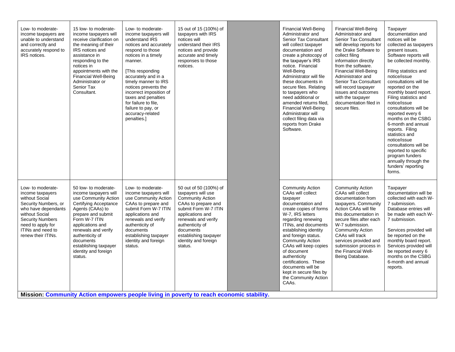| Low- to moderate-<br>income taxpayers are<br>unable to understand<br>and correctly and<br>accurately respond to<br>IRS notices.                                                                                     | 15 low- to moderate-<br>income taxpayers will<br>receive clarification on<br>the meaning of their<br>IRS notices and<br>assistance in<br>responding to the<br>notices in<br>appointments with the<br><b>Financial Well-Being</b><br>Administrator or<br>Senior Tax<br>Consultant.                                                                                                                   | Low- to moderate-<br>income taxpayers will<br>understand IRS<br>notices and accurately<br>respond to those<br>notices in a timely<br>manner.<br>[This responding]<br>accurately and in a<br>timely manner to IRS<br>notices prevents the<br>incorrect imposition of<br>taxes and penalties<br>for failure to file.<br>failure to pay, or<br>accuracy-related<br>penalties.] | 15 out of 15 (100%) of<br>taxpayers with IRS<br>notices will<br>understand their IRS<br>notices and provide<br>accurate and timely<br>responses to those<br>notices.                                                                                          | <b>Financial Well-Being</b><br>Administrator and<br><b>Senior Tax Consultant</b><br>will collect taxpayer<br>documentation and<br>create a photocopy of<br>the taxpayer's IRS<br>notice. Financial<br>Well-Being<br>Administrator will file<br>these documents in<br>secure files. Relating<br>to taxpayers who<br>need additional or<br>amended returns filed.<br><b>Financial Well-Being</b><br>Administrator will<br>collect filing data via<br>reports from Drake<br>Software. | <b>Financial Well-Being</b><br>Administrator and<br><b>Senior Tax Consultant</b><br>will develop reports for<br>the Drake Software to<br>collect filing<br>information directly<br>from the software.<br><b>Financial Well-Being</b><br>Administrator and<br>Senior Tax Consultant<br>will record taxpayer<br>issues and outcomes<br>with the taxpayer<br>documentation filed in<br>secure files. | Taxpayer<br>documentation and<br>notices will be<br>collected as taxpayers<br>present issues.<br>Software reports will<br>be collected monthly.<br>Filing statistics and<br>notice/issue<br>consultations will be<br>reported on the<br>monthly board report.<br>Filing statistics and<br>notice/issue<br>consultations will be<br>reported every 6<br>months on the CSBG<br>6-month and annual<br>reports. Filing<br>statistics and<br>notice/issue<br>consultations will be<br>reported to specific<br>program funders<br>annually through the<br>funders' reporting<br>forms. |
|---------------------------------------------------------------------------------------------------------------------------------------------------------------------------------------------------------------------|-----------------------------------------------------------------------------------------------------------------------------------------------------------------------------------------------------------------------------------------------------------------------------------------------------------------------------------------------------------------------------------------------------|-----------------------------------------------------------------------------------------------------------------------------------------------------------------------------------------------------------------------------------------------------------------------------------------------------------------------------------------------------------------------------|---------------------------------------------------------------------------------------------------------------------------------------------------------------------------------------------------------------------------------------------------------------|------------------------------------------------------------------------------------------------------------------------------------------------------------------------------------------------------------------------------------------------------------------------------------------------------------------------------------------------------------------------------------------------------------------------------------------------------------------------------------|---------------------------------------------------------------------------------------------------------------------------------------------------------------------------------------------------------------------------------------------------------------------------------------------------------------------------------------------------------------------------------------------------|----------------------------------------------------------------------------------------------------------------------------------------------------------------------------------------------------------------------------------------------------------------------------------------------------------------------------------------------------------------------------------------------------------------------------------------------------------------------------------------------------------------------------------------------------------------------------------|
| Low- to moderate-<br>income taxpayers<br>without Social<br>Security Numbers, or<br>who have dependants<br>without Social<br><b>Security Numbers</b><br>need to apply for<br>ITINs and need to<br>renew their ITINs. | 50 low- to moderate-<br>income taxpayers will<br>use Community Action<br><b>Certifying Acceptance</b><br>Agents (CAAs) to<br>prepare and submit<br>Form W-7 ITIN<br>applications and<br>renewals and verify<br>authenticity of<br>documents<br>establishing taxpayer<br>identity and foreign<br>status.<br>Mission: Community Action empowers people living in poverty to reach economic stability. | Low- to moderate-<br>income taxpayers will<br>use Community Action<br>CAAs to prepare and<br>submit Form W-7 ITIN<br>applications and<br>renewals and verify<br>authenticity of<br>documents<br>establishing taxpayer<br>identity and foreign<br>status.                                                                                                                    | 50 out of 50 (100%) of<br>taxpayers will use<br><b>Community Action</b><br>CAAs to prepare and<br>submit Form W-7 ITIN<br>applications and<br>renewals and verify<br>authenticity of<br>documents<br>establishing taxpayer<br>identity and foreign<br>status. | <b>Community Action</b><br>CAAs will collect<br>taxpayer<br>documentation and<br>create copies of forms<br>W-7, IRS letters<br>regarding renewing<br>ITINs, and documents<br>establishing identity<br>and foreign status.<br><b>Community Action</b><br>CAAs will keep copies<br>of document<br>authenticity<br>certifications. These<br>documents will be<br>kept in secure files by<br>the Community Action<br>CAAs.                                                             | <b>Community Action</b><br>CAAs will collect<br>documentation from<br>taxpayers. Community<br>Action CAAs will file<br>this documentation in<br>secure files after each<br>W-7 submission.<br><b>Community Action</b><br>CAAs will track<br>services provided and<br>submission process in<br>the Financial Well-<br>Being Database.                                                              | Taxpayer<br>documentation will be<br>collected with each W-<br>7 submission.<br>Database entries will<br>be made with each W-<br>7 submission.<br>Services provided will<br>be reported on the<br>monthly board report.<br>Services provided will<br>be reported every 6<br>months on the CSBG<br>6-month and annual<br>reports.                                                                                                                                                                                                                                                 |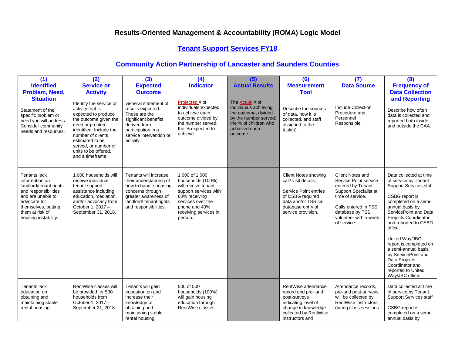# **Tenant Support Services FY18**

| (1)<br><b>Identified</b>                                                                                                                                                                | (2)<br><b>Service or</b>                                                                                                                                                                                                                                                 | (3)<br><b>Expected</b>                                                                                                                                                             | (4)<br><b>Indicator</b>                                                                                                                                                        | (5)<br><b>Actual Results</b>                                                                                                                    | (6)<br><b>Measurement</b>                                                                                                                                    | (7)<br><b>Data Source</b>                                                                                                                                                                      | (8)<br><b>Frequency of</b>                                                                                                                                                                                                                                                                                                                                                                                     |
|-----------------------------------------------------------------------------------------------------------------------------------------------------------------------------------------|--------------------------------------------------------------------------------------------------------------------------------------------------------------------------------------------------------------------------------------------------------------------------|------------------------------------------------------------------------------------------------------------------------------------------------------------------------------------|--------------------------------------------------------------------------------------------------------------------------------------------------------------------------------|-------------------------------------------------------------------------------------------------------------------------------------------------|--------------------------------------------------------------------------------------------------------------------------------------------------------------|------------------------------------------------------------------------------------------------------------------------------------------------------------------------------------------------|----------------------------------------------------------------------------------------------------------------------------------------------------------------------------------------------------------------------------------------------------------------------------------------------------------------------------------------------------------------------------------------------------------------|
| Problem, Need,<br><b>Situation</b><br>Statement of the<br>specific problem or<br>need you will address.<br>Consider community<br>needs and resources.                                   | <b>Activity</b><br>Identify the service or<br>activity that is<br>expected to produce<br>the outcome given the<br>need or problem<br>identified. Include the<br>number of clients<br>estimated to be<br>served, or number of<br>units to be offered.<br>and a timeframe. | <b>Outcome</b><br>General statement of<br>results expected.<br>These are the<br>significant benefits<br>derived from<br>participation in a<br>service intervention or<br>activity. | Projected # of<br>individuals expected<br>to achieve each<br>outcome divided by<br>the number served:<br>the % expected to<br>achieve.                                         | The Actual # of<br>individuals achieving<br>the outcome, divided<br>by the number served;<br>the % of children who<br>achieved each<br>outcome. | <b>Tool</b><br>Describe the sources<br>of data, how it is<br>collected, and staff<br>assigned to the<br>$task(s)$ .                                          | Include Collection<br>Procedure and<br>Personnel<br>Responsible.                                                                                                                               | <b>Data Collection</b><br>and Reporting<br>Describe how often<br>data is collected and<br>reported both inside<br>and outside the CAA.                                                                                                                                                                                                                                                                         |
| Tenants lack<br>information on<br>landlord/tenant rights<br>and responsibilities<br>and are unable to<br>advocate for<br>themselves, putting<br>them at risk of<br>housing instability. | 1.000 households will<br>receive individual<br>tenant support<br>assistance including<br>education, mediation,<br>and/or advocacy from<br>October 1, 2017 -<br>September 31, 2018.                                                                                       | Tenants will increase<br>their understanding of<br>how to handle housing<br>concerns through<br>greater awareness of<br>landlord/ tenant rights<br>and responsibilities.           | 1,000 of 1,000<br>households (100%)<br>will receive tenant<br>support services with<br>60% receiving<br>services over the<br>phone and 40%<br>receiving services in<br>person. |                                                                                                                                                 | Client Notes showing<br>call/ visit details.<br>Service Point entries<br>of CSBG required<br>data and/or TSS call<br>database entry of<br>service provision. | Client Notes and<br>Service Point service<br>entered by Tenant<br>Support Specialist at<br>time of service.<br>Calls entered in TSS<br>database by TSS<br>volunteer within week<br>of service. | Data collected at time<br>of service by Tenant<br><b>Support Services staff</b><br>CSBG report is<br>completed on a semi-<br>annual basis by<br>ServicePoint and Data<br><b>Projects Coordinator</b><br>and reported to CSBG<br>office.<br>United Way/JBC<br>report is completed on<br>a semi-annual basis<br>by ServicePoint and<br>Data Projects<br>Coordinator and<br>reported to United<br>Way/JBC office. |
| <b>Tenants lack</b><br>education on<br>obtaining and<br>maintaining stable<br>rental housing.                                                                                           | RentWise classes will<br>be provided for 500<br>households from<br>October 1, 2017 -<br>September 31, 2018.                                                                                                                                                              | Tenants will gain<br>education on and<br>increase their<br>knowledge of<br>obtaining and<br>maintaining stable<br>rental housing.                                                  | 500 of 500<br>households (100%)<br>will gain housing<br>education through<br>RentWise classes.                                                                                 |                                                                                                                                                 | RentWise attendance<br>record and pre- and<br>post-surveys<br>indicating level of<br>change in knowledge<br>collected by RentWise<br>instructors and         | Attendance records,<br>pre-and post-surveys<br>will be collected by<br>RentWise instructors<br>during class sessions.                                                                          | Data collected at time<br>of service by Tenant<br><b>Support Services staff</b><br>CSBG report is<br>completed on a semi-<br>annual basis by                                                                                                                                                                                                                                                                   |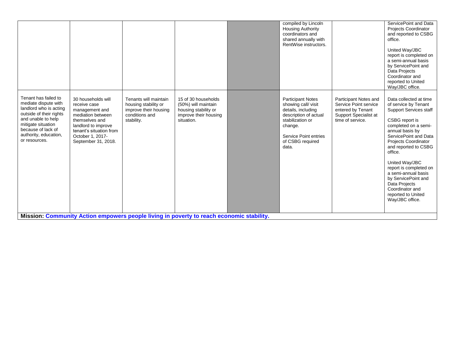|                                                                                                                                                                                                               |                                                                                                                                                                                          |                                                                                                        |                                                                                                           |  | compiled by Lincoln<br><b>Housing Authority</b><br>coordinators and<br>shared annually with<br>RentWise instructors.                                                               |                                                                                                                  | ServicePoint and Data<br>Projects Coordinator<br>and reported to CSBG<br>office.<br>United Way/JBC<br>report is completed on<br>a semi-annual basis<br>by ServicePoint and<br>Data Projects<br>Coordinator and<br>reported to United<br>Way/JBC office.                                                                                                                                                 |  |
|---------------------------------------------------------------------------------------------------------------------------------------------------------------------------------------------------------------|------------------------------------------------------------------------------------------------------------------------------------------------------------------------------------------|--------------------------------------------------------------------------------------------------------|-----------------------------------------------------------------------------------------------------------|--|------------------------------------------------------------------------------------------------------------------------------------------------------------------------------------|------------------------------------------------------------------------------------------------------------------|---------------------------------------------------------------------------------------------------------------------------------------------------------------------------------------------------------------------------------------------------------------------------------------------------------------------------------------------------------------------------------------------------------|--|
| Tenant has failed to<br>mediate dispute with<br>landlord who is acting<br>outside of their rights<br>and unable to help<br>mitigate situation<br>because of lack of<br>authority, education,<br>or resources. | 30 households will<br>receive case<br>management and<br>mediation between<br>themselves and<br>landlord to improve<br>tenant's situation from<br>October 1, 2017-<br>September 31, 2018. | Tenants will maintain<br>housing stability or<br>improve their housing<br>conditions and<br>stability. | 15 of 30 households<br>(50%) will maintain<br>housing stability or<br>improve their housing<br>situation. |  | <b>Participant Notes</b><br>showing call/visit<br>details, including<br>description of actual<br>stabilization or<br>change.<br>Service Point entries<br>of CSBG required<br>data. | Participant Notes and<br>Service Point service<br>entered by Tenant<br>Support Specialist at<br>time of service. | Data collected at time<br>of service by Tenant<br><b>Support Services staff</b><br>CSBG report is<br>completed on a semi-<br>annual basis by<br>ServicePoint and Data<br>Projects Coordinator<br>and reported to CSBG<br>office.<br>United Way/JBC<br>report is completed on<br>a semi-annual basis<br>by ServicePoint and<br>Data Projects<br>Coordinator and<br>reported to United<br>Way/JBC office. |  |
| Mission: Community Action empowers people living in poverty to reach economic stability.                                                                                                                      |                                                                                                                                                                                          |                                                                                                        |                                                                                                           |  |                                                                                                                                                                                    |                                                                                                                  |                                                                                                                                                                                                                                                                                                                                                                                                         |  |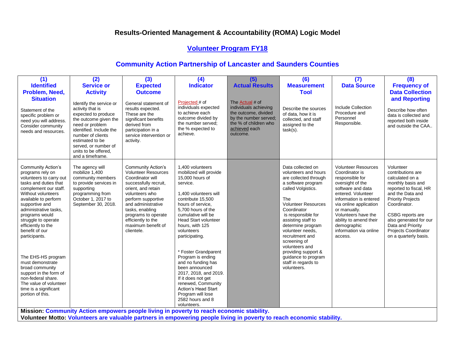## **Volunteer Program FY18**

| (1)                                                                                                                                                                                                                                                                                                                                                                                                                                                                                                       | (2)                                                                                                                                                                                                                                                   | (3)                                                                                                                                                                                                                                                                                          | (4)                                                                                                                                                                                                                                                                                                                                                                                                                                                                                                                 | (5)                                                                                                                                                    | (6)                                                                                                                                                                                                                                                                                                                                                                                              | (7)                                                                                                                                                                                                                                                                                                     | (8)                                                                                                                                                                                                                                                                                  |  |  |
|-----------------------------------------------------------------------------------------------------------------------------------------------------------------------------------------------------------------------------------------------------------------------------------------------------------------------------------------------------------------------------------------------------------------------------------------------------------------------------------------------------------|-------------------------------------------------------------------------------------------------------------------------------------------------------------------------------------------------------------------------------------------------------|----------------------------------------------------------------------------------------------------------------------------------------------------------------------------------------------------------------------------------------------------------------------------------------------|---------------------------------------------------------------------------------------------------------------------------------------------------------------------------------------------------------------------------------------------------------------------------------------------------------------------------------------------------------------------------------------------------------------------------------------------------------------------------------------------------------------------|--------------------------------------------------------------------------------------------------------------------------------------------------------|--------------------------------------------------------------------------------------------------------------------------------------------------------------------------------------------------------------------------------------------------------------------------------------------------------------------------------------------------------------------------------------------------|---------------------------------------------------------------------------------------------------------------------------------------------------------------------------------------------------------------------------------------------------------------------------------------------------------|--------------------------------------------------------------------------------------------------------------------------------------------------------------------------------------------------------------------------------------------------------------------------------------|--|--|
| <b>Identified</b>                                                                                                                                                                                                                                                                                                                                                                                                                                                                                         | <b>Service or</b>                                                                                                                                                                                                                                     | <b>Expected</b>                                                                                                                                                                                                                                                                              | <b>Indicator</b>                                                                                                                                                                                                                                                                                                                                                                                                                                                                                                    | <b>Actual Results</b>                                                                                                                                  | <b>Measurement</b>                                                                                                                                                                                                                                                                                                                                                                               | <b>Data Source</b>                                                                                                                                                                                                                                                                                      | <b>Frequency of</b>                                                                                                                                                                                                                                                                  |  |  |
| Problem, Need,                                                                                                                                                                                                                                                                                                                                                                                                                                                                                            | <b>Activity</b>                                                                                                                                                                                                                                       | <b>Outcome</b>                                                                                                                                                                                                                                                                               |                                                                                                                                                                                                                                                                                                                                                                                                                                                                                                                     |                                                                                                                                                        | <b>Tool</b>                                                                                                                                                                                                                                                                                                                                                                                      |                                                                                                                                                                                                                                                                                                         | <b>Data Collection</b>                                                                                                                                                                                                                                                               |  |  |
| <b>Situation</b><br>Statement of the<br>specific problem or<br>need you will address.<br>Consider community<br>needs and resources.                                                                                                                                                                                                                                                                                                                                                                       | Identify the service or<br>activity that is<br>expected to produce<br>the outcome given the<br>need or problem<br>identified. Include the<br>number of clients<br>estimated to be<br>served, or number of<br>units to be offered,<br>and a timeframe. | General statement of<br>results expected.<br>These are the<br>significant benefits<br>derived from<br>participation in a<br>service intervention or<br>activity.                                                                                                                             | Projected # of<br>individuals expected<br>to achieve each<br>outcome divided by<br>the number served;<br>the % expected to<br>achieve.                                                                                                                                                                                                                                                                                                                                                                              | The <b>Actual</b> # of<br>individuals achieving<br>the outcome, divided<br>by the number served;<br>the % of children who<br>achieved each<br>outcome. | Describe the sources<br>of data, how it is<br>collected, and staff<br>assigned to the<br>$task(s)$ .                                                                                                                                                                                                                                                                                             | Include Collection<br>Procedure and<br>Personnel<br>Responsible.                                                                                                                                                                                                                                        | and Reporting<br>Describe how often<br>data is collected and<br>reported both inside<br>and outside the CAA                                                                                                                                                                          |  |  |
| <b>Community Action's</b><br>programs rely on<br>volunteers to carry out<br>tasks and duties that<br>complement our staff.<br>Without volunteers<br>available to perform<br>supportive and<br>administrative tasks,<br>programs would<br>struggle to operate<br>efficiently to the<br>benefit of our<br>participants.<br>The EHS-HS program<br>must demonstrate<br>broad community<br>support in the form of<br>non-federal share.<br>The value of volunteer<br>time is a significant<br>portion of this. | The agency will<br>mobilize 1,400<br>community members<br>to provide services in<br>supporting<br>programming from<br>October 1, 2017 to<br>September 30, 2018.                                                                                       | <b>Community Action's</b><br><b>Volunteer Resources</b><br>Coordinator will<br>successfully recruit,<br>orient, and retain<br>volunteers who<br>perform supportive<br>and administrative<br>tasks, enabling<br>programs to operate<br>efficiently to the<br>maximum benefit of<br>clientele. | 1.400 volunteers<br>mobilized will provide<br>15,000 hours of<br>service.<br>1.400 volunteers will<br>contribute 15,500<br>hours of service,<br>5,700 hours of the<br>cumulative will be<br><b>Head Start volunteer</b><br>hours, with 125<br>volunteers<br>participating.<br>* Foster Grandparent<br>Program is ending<br>and no funding has<br>been announced<br>2017, 2018, and 2019.<br>If it does not get<br>renewed, Community<br>Action's Head Start<br>Program will lose<br>2582 hours and 8<br>volunteers. |                                                                                                                                                        | Data collected on<br>volunteers and hours<br>are collected through<br>a software program<br>called Volgistics.<br>The<br><b>Volunteer Resources</b><br>Coordinator<br>is responsible for<br>assisting staff to<br>determine program<br>volunteer needs,<br>recruitment and<br>screening of<br>volunteers and<br>providing support &<br>guidance to program<br>staff in regards to<br>volunteers. | <b>Volunteer Resources</b><br>Coordinator is<br>responsible for<br>oversight of the<br>software and data<br>entered. Volunteer<br>information is entered<br>via online application<br>or manually.<br>Volunteers have the<br>ability to amend their<br>demographic<br>information via online<br>access. | Volunteer<br>contributions are<br>calculated on a<br>monthly basis and<br>reported to fiscal, HR<br>and the Data and<br><b>Priority Projects</b><br>Coordinator.<br>CSBG reports are<br>also generated for our<br>Data and Priority<br>Projects Coordinator<br>on a quarterly basis. |  |  |
|                                                                                                                                                                                                                                                                                                                                                                                                                                                                                                           |                                                                                                                                                                                                                                                       | Mission: Community Action empowers people living in poverty to reach economic stability.                                                                                                                                                                                                     |                                                                                                                                                                                                                                                                                                                                                                                                                                                                                                                     |                                                                                                                                                        |                                                                                                                                                                                                                                                                                                                                                                                                  |                                                                                                                                                                                                                                                                                                         |                                                                                                                                                                                                                                                                                      |  |  |
| Volunteer Motto: Volunteers are valuable partners in empowering people living in poverty to reach economic stability.                                                                                                                                                                                                                                                                                                                                                                                     |                                                                                                                                                                                                                                                       |                                                                                                                                                                                                                                                                                              |                                                                                                                                                                                                                                                                                                                                                                                                                                                                                                                     |                                                                                                                                                        |                                                                                                                                                                                                                                                                                                                                                                                                  |                                                                                                                                                                                                                                                                                                         |                                                                                                                                                                                                                                                                                      |  |  |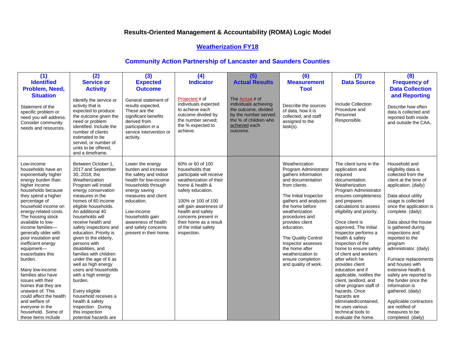#### **Weatherization FY18**

| (1)                                                                                                                                                                                                                                                                                                                                                                                                                                                                                                                                                                                                                 | (2)                                                                                                                                                                                                                                                                                                                                                                                                                                                                                                                                                                                                                                          | (3)                                                                                                                                                                                                                                                                            | (4)                                                                                                                                                                                                                                                                                              | (5)                                                                                                                                                    | (6)                                                                                                                                                                                                                                                                                                                                                                            | (7)                                                                                                                                                                                                                                                                                                                                                                                                                                                                                                                                                                                                                                             | (8)                                                                                                                                                                                                                                                                                                                                                                                                                                                                                                                                                                            |
|---------------------------------------------------------------------------------------------------------------------------------------------------------------------------------------------------------------------------------------------------------------------------------------------------------------------------------------------------------------------------------------------------------------------------------------------------------------------------------------------------------------------------------------------------------------------------------------------------------------------|----------------------------------------------------------------------------------------------------------------------------------------------------------------------------------------------------------------------------------------------------------------------------------------------------------------------------------------------------------------------------------------------------------------------------------------------------------------------------------------------------------------------------------------------------------------------------------------------------------------------------------------------|--------------------------------------------------------------------------------------------------------------------------------------------------------------------------------------------------------------------------------------------------------------------------------|--------------------------------------------------------------------------------------------------------------------------------------------------------------------------------------------------------------------------------------------------------------------------------------------------|--------------------------------------------------------------------------------------------------------------------------------------------------------|--------------------------------------------------------------------------------------------------------------------------------------------------------------------------------------------------------------------------------------------------------------------------------------------------------------------------------------------------------------------------------|-------------------------------------------------------------------------------------------------------------------------------------------------------------------------------------------------------------------------------------------------------------------------------------------------------------------------------------------------------------------------------------------------------------------------------------------------------------------------------------------------------------------------------------------------------------------------------------------------------------------------------------------------|--------------------------------------------------------------------------------------------------------------------------------------------------------------------------------------------------------------------------------------------------------------------------------------------------------------------------------------------------------------------------------------------------------------------------------------------------------------------------------------------------------------------------------------------------------------------------------|
| <b>Identified</b>                                                                                                                                                                                                                                                                                                                                                                                                                                                                                                                                                                                                   | <b>Service or</b>                                                                                                                                                                                                                                                                                                                                                                                                                                                                                                                                                                                                                            | <b>Expected</b>                                                                                                                                                                                                                                                                | <b>Indicator</b>                                                                                                                                                                                                                                                                                 | <b>Actual Results</b>                                                                                                                                  | <b>Measurement</b>                                                                                                                                                                                                                                                                                                                                                             | <b>Data Source</b>                                                                                                                                                                                                                                                                                                                                                                                                                                                                                                                                                                                                                              | <b>Frequency of</b>                                                                                                                                                                                                                                                                                                                                                                                                                                                                                                                                                            |
| Problem, Need,                                                                                                                                                                                                                                                                                                                                                                                                                                                                                                                                                                                                      | <b>Activity</b>                                                                                                                                                                                                                                                                                                                                                                                                                                                                                                                                                                                                                              | <b>Outcome</b>                                                                                                                                                                                                                                                                 |                                                                                                                                                                                                                                                                                                  |                                                                                                                                                        | <b>Tool</b>                                                                                                                                                                                                                                                                                                                                                                    |                                                                                                                                                                                                                                                                                                                                                                                                                                                                                                                                                                                                                                                 | <b>Data Collection</b>                                                                                                                                                                                                                                                                                                                                                                                                                                                                                                                                                         |
| <b>Situation</b><br>Statement of the<br>specific problem or<br>need you will address.<br>Consider community<br>needs and resources.                                                                                                                                                                                                                                                                                                                                                                                                                                                                                 | Identify the service or<br>activity that is<br>expected to produce<br>the outcome given the<br>need or problem<br>identified. Include the<br>number of clients<br>estimated to be<br>served, or number of<br>units to be offered.<br>and a timeframe.                                                                                                                                                                                                                                                                                                                                                                                        | General statement of<br>results expected.<br>These are the<br>significant benefits<br>derived from<br>participation in a<br>service intervention or<br>activity.                                                                                                               | Projected # of<br>individuals expected<br>to achieve each<br>outcome divided by<br>the number served:<br>the % expected to<br>achieve.                                                                                                                                                           | The <b>Actual</b> # of<br>individuals achieving<br>the outcome, divided<br>by the number served;<br>the % of children who<br>achieved each<br>outcome. | Describe the sources<br>of data, how it is<br>collected, and staff<br>assigned to the<br>$task(s)$ .                                                                                                                                                                                                                                                                           | Include Collection<br>Procedure and<br>Personnel<br>Responsible.                                                                                                                                                                                                                                                                                                                                                                                                                                                                                                                                                                                | and Reporting<br>Describe how often<br>data is collected and<br>reported both inside<br>and outside the CAA                                                                                                                                                                                                                                                                                                                                                                                                                                                                    |
| Low-income<br>households have an<br>exponentially higher<br>energy burden than<br>higher income<br>households because<br>they spend a higher<br>percentage of<br>household income on<br>energy-related costs.<br>The housing stock<br>available to low-<br>income families-<br>generally older with<br>poor insulation and<br>inefficient energy<br>equipment-<br>exacerbates this<br>burden.<br>Many low-income<br>families also have<br>issues with their<br>homes that they are<br>unaware of. This<br>could affect the health<br>and welfare of<br>everyone in the<br>household. Some of<br>these items include | Between October 1,<br>2017 and September<br>30, 2018, the<br>Weatherization<br>Program will install<br>energy conservation<br>measures in the<br>homes of 60 income<br>eligible households.<br>An additional 40<br>households will<br>receive health and<br>safety inspections and<br>education. Priority is<br>given to the elderly,<br>persons with<br>disabilities, and<br>families with children<br>under the age of 6 as<br>well as high energy<br>users and households<br>with a high energy<br>burden.<br>Every eligible<br>household receives a<br>health & safety<br>inspection. During<br>this inspection<br>potential hazards are | Lower the energy<br>burden and increase<br>the safety and indoor<br>health for low-income<br>households through<br>energy saving<br>measures and client<br>education.<br>Low-income<br>households gain<br>awareness of health<br>and safety concerns<br>present in their home. | 60% or 60 of 100<br>households that<br>participate will receive<br>weatherization of their<br>home & health &<br>safety education.<br>100% or 100 of 100<br>will gain awareness of<br>health and safety<br>concerns present in<br>their home as a result<br>of the initial safety<br>inspection. |                                                                                                                                                        | Weatherization<br>Program Administrator<br>gathers information<br>and documentation<br>from clients.<br>The Initial Inspector<br>gathers and analyzes<br>the home before<br>weatherization<br>procedures and<br>provides client<br>education.<br>The Quality Control<br>Inspector assesses<br>the home after<br>weatherization to<br>ensure completion<br>and quality of work. | The client turns in the<br>application and<br>required<br>documentation.<br>Weatherization<br>Program Administrator<br>ensures completeness<br>and prepares<br>calculations to assess<br>eligibility and priority.<br>Once client is<br>approved, The Initial<br>Inspector performs a<br>health & safety<br>inspection of the<br>home to ensure safety<br>of client and workers<br>after which he<br>provides client<br>education and if<br>applicable, notifies the<br>client, landlord, and<br>other program staff of<br>hazards. Once<br>hazards are<br>eliminated/contained.<br>he uses various<br>technical tools to<br>evaluate the home. | Household and<br>eligibility data is<br>collected from the<br>client at the time of<br>application. (daily)<br>Data about utility<br>usage is collected<br>once the application is<br>complete. (daily)<br>Data about the house<br>is gathered during<br>inspections and<br>reported to the<br>program<br>administrator. (daily)<br>Furnace replacements<br>and houses with<br>extensive health &<br>safety are reported to<br>the funder once the<br>information is<br>gathered. (daily)<br>Applicable contractors<br>are notified of<br>measures to be<br>completed. (daily) |